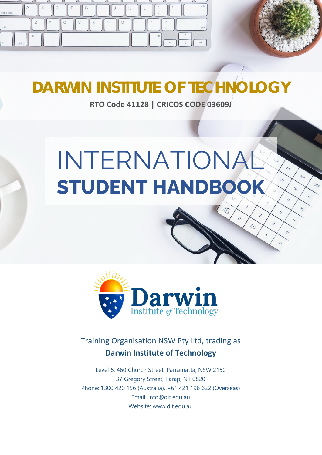



 $\mathbf{r}$ 

 $O<sub>D</sub>$ 

 $O_{\mathcal{E}_{\mathcal{E}}}$ 

# **DARWIN INSTITUTE OF TECHNOLOGY**

**RTO Code 41128 | CRICOS CODE 03609J**

# INTERNATIONAL **STUDENT HANDBOOK**



# Training Organisation NSW Pty Ltd, trading as **Darwin Institute of Technology**

Level 6, 460 Church Street, Parramatta, NSW 2150 37 Gregory Street, Parap, NT 0820 Phone: 1300 420 156 (Australia), +61 421 196 622 (Overseas) Email: info@dit.edu.au Website: www.dit.edu.au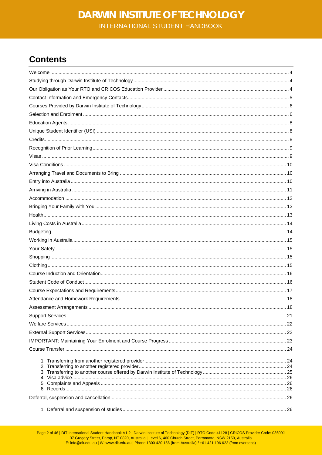# **Contents**

Page 2 of 46 | DIT International Student Handbook V1.2 | Darwin Institute of Technology (DIT) | RTO Code 41128 | CRICOS Provider Code: 03609J<br>37 Gregory Street, Parap, NT 0820, Australia | Level 6, 460 Church Street, Parra E: info@dit.edu.au | W: www.dit.edu.au | Phone:1300 420 156 (from Australia) / +61 421 196 622 (from overseas)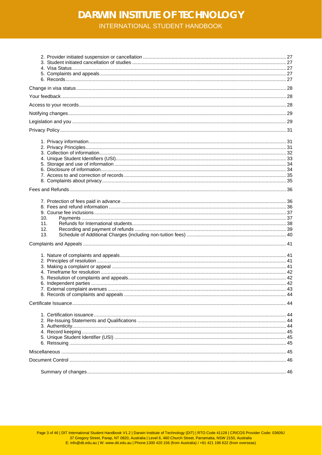# **DARWIN INSTITUTE OF TECHNOLOGY**

INTERNATIONAL STUDENT HANDBOOK

| 10. |  |
|-----|--|
| 11. |  |
| 12. |  |
| 13. |  |
|     |  |
|     |  |
|     |  |
|     |  |
|     |  |
|     |  |
|     |  |
|     |  |
|     |  |
|     |  |
|     |  |
|     |  |
|     |  |
|     |  |
|     |  |
|     |  |
|     |  |
|     |  |
|     |  |
|     |  |
|     |  |
|     |  |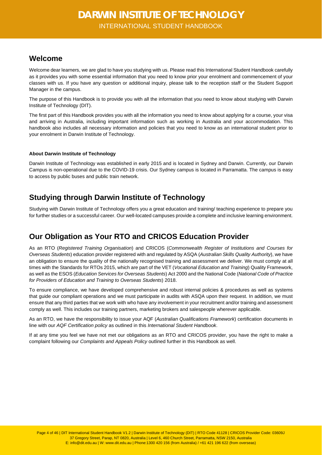### <span id="page-3-0"></span>**Welcome**

Welcome dear learners, we are glad to have you studying with us. Please read this International Student Handbook carefully as it provides you with some essential information that you need to know prior your enrolment and commencement of your classes with us. If you have any question or additional inquiry, please talk to the reception staff or the Student Support Manager in the campus.

The purpose of this Handbook is to provide you with all the information that you need to know about studying with Darwin Institute of Technology (DIT).

The first part of this Handbook provides you with all the information you need to know about applying for a course, your visa and arriving in Australia, including important information such as working in Australia and your accommodation. This handbook also includes all necessary information and policies that you need to know as an international student prior to your enrolment in Darwin Institute of Technology.

### **About Darwin Institute of Technology**

Darwin Institute of Technology was established in early 2015 and is located in Sydney and Darwin. Currently, our Darwin Campus is non-operational due to the COVID-19 crisis. Our Sydney campus is located in Parramatta. The campus is easy to access by public buses and public train network.

### <span id="page-3-1"></span>**Studying through Darwin Institute of Technology**

Studying with Darwin Institute of Technology offers you a great education and training/ teaching experience to prepare you for further studies or a successful career. Our well-located campuses provide a complete and inclusive learning environment.

### <span id="page-3-2"></span>**Our Obligation as Your RTO and CRICOS Education Provider**

As an RTO (*Registered Training Organisation*) and CRICOS (*Commonwealth Register of Institutions and Courses for Overseas Students*) education provider registered with and regulated by ASQA (*Australian Skills Quality Authority*), we have an obligation to ensure the quality of the nationally recognised training and assessment we deliver. We must comply at all times with the Standards for RTOs 2015, which are part of the VET (*Vocational Education and Training*) Quality Framework, as well as the ESOS (*Education Services for Overseas Students*) Act 2000 and the National Code (*National Code of Practice for Providers of Education and Training to Overseas Students*) 2018.

To ensure compliance, we have developed comprehensive and robust internal policies & procedures as well as systems that guide our compliant operations and we must participate in audits with ASQA upon their request. In addition, we must ensure that any third parties that we work with who have any involvement in your recruitment and/or training and assessment comply as well. This includes our training partners, marketing brokers and salespeople wherever applicable.

As an RTO, we have the responsibility to issue your AQF (*Australian Qualifications Framework*) certification documents in line with our *AQF Certification policy* as outlined in this *International Student Handbook*.

If at any time you feel we have not met our obligations as an RTO and CRICOS provider, you have the right to make a complaint following our *Complaints and Appeals Policy* outlined further in this Handbook as well.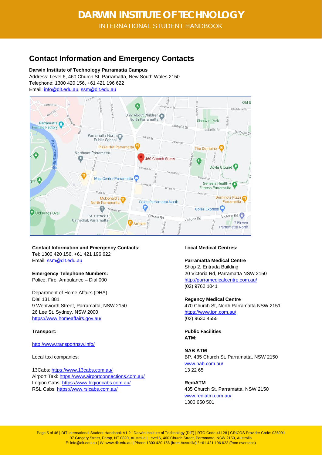### <span id="page-4-0"></span>**Contact Information and Emergency Contacts**

**Darwin Institute of Technology Parramatta Campus**

Address: Level 6, 460 Church St, Parramatta, New South Wales 2150 Telephone: 1300 420 156, +61 421 196 622 Email: [info@dit.edu.au,](mailto:info@dit.edu.au) [ssm@dit.edu.au](mailto:ssm@dit.edu.au)



**Contact Information and Emergency Contacts:** Tel: 1300 420 156, +61 421 196 622 Email: [ssm@dit.edu.au](mailto:ssm@dit.edu.au)

### **Emergency Telephone Numbers:**

Police, Fire, Ambulance – Dial 000

Department of Home Affairs (DHA) Dial 131 881 9 Wentworth Street, Parramatta, NSW 2150 26 Lee St. Sydney, NSW 2000 <https://www.homeaffairs.gov.au/>

### **Transport:**

<http://www.transportnsw.info/>

Local taxi companies:

13Cabs:<https://www.13cabs.com.au/> Airport Taxi:<https://www.airportconnections.com.au/> Legion Cabs:<https://www.legioncabs.com.au/> RSL Cabs[: https://www.rslcabs.com.au/](https://www.rslcabs.com.au/)

### **Local Medical Centres:**

**Parramatta Medical Centre** Shop 2, Entrada Building 20 Victoria Rd, Parramatta NSW 2150 <http://parramedicalcentre.com.au/> (02) 9762 1041

**Regency Medical Centre** 470 Church St, North Parramatta NSW 2151 <https://www.ipn.com.au/> (02) 9630 4555

**Public Facilities ATM:** 

**NAB ATM** BP, 435 Church St, Parramatta, NSW 2150 [www.nab.com.au/](http://www.nab.com.au/) 13 22 65

**RediATM** 435 Church St, Parramatta, NSW 2150 [www.rediatm.com.au/](http://www.rediatm.com.au/) 1300 650 501

Page 5 of 46 | DIT International Student Handbook V1.2 | Darwin Institute of Technology (DIT) | RTO Code 41128 | CRICOS Provider Code: 03609J 37 Gregory Street, Parap, NT 0820, Australia | Level 6, 460 Church Street, Parramatta, NSW 2150, Australia E: info@dit.edu.au | W: www.dit.edu.au | Phone:1300 420 156 (from Australia) / +61 421 196 622 (from overseas)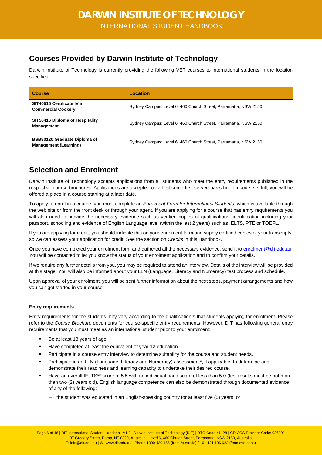### <span id="page-5-0"></span>**Courses Provided by Darwin Institute of Technology**

Darwin Institute of Technology is currently providing the following VET courses to international students in the location specified:

| <b>Course</b>                                                       | Location                                                        |
|---------------------------------------------------------------------|-----------------------------------------------------------------|
| SIT40516 Certificate IV in<br><b>Commercial Cookery</b>             | Sydney Campus: Level 6, 460 Church Street, Parramatta, NSW 2150 |
| SIT50416 Diploma of Hospitality<br><b>Management</b>                | Sydney Campus: Level 6, 460 Church Street, Parramatta, NSW 2150 |
| <b>BSB80120 Graduate Diploma of</b><br><b>Management (Learning)</b> | Sydney Campus: Level 6, 460 Church Street, Parramatta, NSW 2150 |

### <span id="page-5-1"></span>**Selection and Enrolment**

Darwin Institute of Technology accepts applications from all students who meet the entry requirements published in the respective course brochures. Applications are accepted on a first come first served basis but if a course is full, you will be offered a place in a course starting at a later date.

To apply to enrol in a course, you must complete an *Enrolment Form for International Students*, which is available through the web site or from the front desk or through your agent. If you are applying for a course that has entry requirements you will also need to provide the necessary evidence such as verified copies of qualifications, identification including your passport, schooling and evidence of English Language level (within the last 2 years) such as IELTS, PTE or TOEFL.

If you are applying for credit, you should indicate this on your enrolment form and supply certified copies of your transcripts, so we can assess your application for credit. See the section on *Credits* in this Handbook.

Once you have completed your enrolment form and gathered all the necessary evidence, send it to [enrolment@dit.edu.au.](mailto:enrolment@dit.edu.au) You will be contacted to let you know the status of your enrolment application and to confirm your details.

If we require any further details from you, you may be required to attend an interview. Details of the interview will be provided at this stage. You will also be informed about your LLN (Language, Literacy and Numeracy) test process and schedule.

Upon approval of your enrolment, you will be sent further information about the next steps, payment arrangements and how you can get started in your course.

### **Entry requirements**

Entry requirements for the students may vary according to the qualification/s that students applying for enrolment. Please refer to the *Course Brochure* documents for course-specific entry requirements. However, DIT has following general entry requirements that you must meet as an international student prior to your enrolment:

- Be at least 18 years of age.
- Have completed at least the equivalent of year 12 education.
- Participate in a course entry interview to determine suitability for the course and student needs.
- Participate in an LLN (Language, Literacy and Numeracy) assessment\*, if applicable, to determine and demonstrate their readiness and learning capacity to undertake their desired course.
- Have an overall IELTS\*\* score of 5.5 with no individual band score of less than 5.0 (test results must be not more than two (2) years old). English language competence can also be demonstrated through documented evidence of any of the following:
	- − the student was educated in an English-speaking country for at least five (5) years; or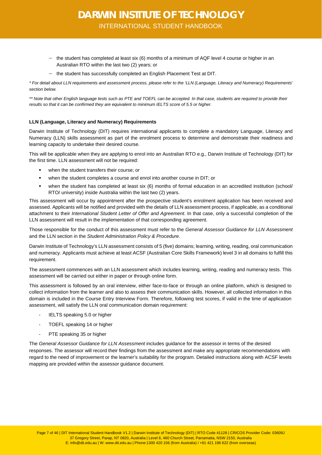- − the student has completed at least six (6) months of a minimum of AQF level 4 course or higher in an Australian RTO within the last two (2) years; or
- − the student has successfully completed an English Placement Test at DIT.

*\* For detail about LLN requirements and assessment process, please refer to the 'LLN (Language, Literacy and Numeracy) Requirements' section below.* 

*\*\* Note that other English language tests such as PTE and TOEFL can be accepted. In that case, students are required to provide their results so that it can be confirmed they are equivalent to minimum IELTS score of 5.5 or higher.*

#### **LLN (Language, Literacy and Numeracy) Requirements**

Darwin Institute of Technology (DIT) requires international applicants to complete a mandatory Language, Literacy and Numeracy (LLN) skills assessment as part of the enrolment process to determine and demonstrate their readiness and learning capacity to undertake their desired course.

This will be applicable when they are applying to enrol into an Australian RTO e.g., Darwin Institute of Technology (DIT) for the first time. LLN assessment will not be required:

- when the student transfers their course; or
- when the student completes a course and enrol into another course in DIT; or
- when the student has completed at least six (6) months of formal education in an accredited institution (school/ RTO/ university) inside Australia within the last two (2) years.

This assessment will occur by appointment after the prospective student's enrolment application has been received and assessed. Applicants will be notified and provided with the details of LLN assessment process, if applicable, as a conditional attachment to their *International Student Letter of Offer and Agreement*. In that case, only a successful completion of the LLN assessment will result in the implementation of that corresponding agreement.

Those responsible for the conduct of this assessment must refer to the *General Assessor Guidance for LLN Assessment* and the LLN section in the *Student Administration Policy & Procedure*.

Darwin Institute of Technology's LLN assessment consists of 5 (five) domains; learning, writing, reading, oral communication and numeracy. Applicants must achieve at least ACSF (Australian Core Skills Framework) level 3 in all domains to fulfill this requirement.

The assessment commences with an LLN assessment which includes learning, writing, reading and numeracy tests. This assessment will be carried out either in paper or through online form.

This assessment is followed by an oral interview, either face-to-face or through an online platform, which is designed to collect information from the learner and also to assess their communication skills. However, all collected information in this domain is included in the Course Entry Interview Form. Therefore, following test scores, if valid in the time of application assessment, will satisfy the LLN oral communication domain requirement:

- IELTS speaking 5.0 or higher
- TOEFL speaking 14 or higher
- PTE speaking 35 or higher

The *General Assessor Guidance for LLN Assessment* includes guidance for the assessor in terms of the desired responses. The assessor will record their findings from the assessment and make any appropriate recommendations with regard to the need of improvement or the learner's suitability for the program. Detailed instructions along with ACSF levels mapping are provided within the assessor guidance document.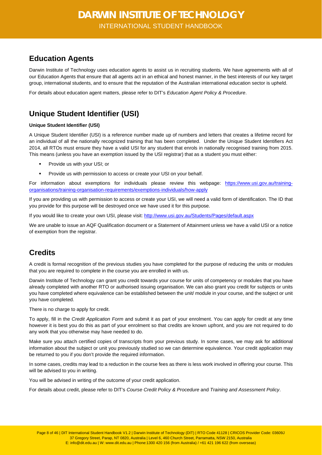### <span id="page-7-0"></span>**Education Agents**

Darwin Institute of Technology uses education agents to assist us in recruiting students. We have agreements with all of our Education Agents that ensure that all agents act in an ethical and honest manner, in the best interests of our key target group, international students, and to ensure that the reputation of the Australian international education sector is upheld.

<span id="page-7-1"></span>For details about education agent matters, please refer to DIT's *Education Agent Policy & Procedure*.

# **Unique Student Identifier (USI)**

### **Unique Student Identifier (USI)**

A Unique Student Identifier (USI) is a reference number made up of numbers and letters that creates a lifetime record for an individual of all the nationally recognized training that has been completed. Under the Unique Student Identifiers Act 2014, all RTOs must ensure they have a valid USI for any student that enrols in nationally recognised training from 2015. This means (unless you have an exemption issued by the USI registrar) that as a student you must either:

- Provide us with your USI; or
- **Provide us with permission to access or create your USI on your behalf.**

For information about exemptions for individuals please review this webpage: [https://www.usi.gov.au/training](https://www.usi.gov.au/training-organisations/training-organisation-requirements/exemptions-individuals/how-apply)[organisations/training-organisation-requirements/exemptions-individuals/how-apply](https://www.usi.gov.au/training-organisations/training-organisation-requirements/exemptions-individuals/how-apply)

If you are providing us with permission to access or create your USI, we will need a valid form of identification. The ID that you provide for this purpose will be destroyed once we have used it for this purpose.

If you would like to create your own USI, please visit[: http://www.usi.gov.au/Students/Pages/default.aspx](http://www.usi.gov.au/Students/Pages/default.aspx)

We are unable to issue an AQF Qualification document or a Statement of Attainment unless we have a valid USI or a notice of exemption from the registrar.

### <span id="page-7-2"></span>**Credits**

A credit is formal recognition of the previous studies you have completed for the purpose of reducing the units or modules that you are required to complete in the course you are enrolled in with us.

Darwin Institute of Technology can grant you credit towards your course for units of competency or modules that you have already completed with another RTO or authorised issuing organisation. We can also grant you credit for subjects or units you have completed where equivalence can be established between the unit/ module in your course, and the subject or unit you have completed.

There is no charge to apply for credit.

To apply, fill in the *Credit Application Form* and submit it as part of your enrolment. You can apply for credit at any time however it is best you do this as part of your enrolment so that credits are known upfront, and you are not required to do any work that you otherwise may have needed to do.

Make sure you attach certified copies of transcripts from your previous study. In some cases, we may ask for additional information about the subject or unit you previously studied so we can determine equivalence. Your credit application may be returned to you if you don't provide the required information.

In some cases, credits may lead to a reduction in the course fees as there is less work involved in offering your course. This will be advised to you in writing.

You will be advised in writing of the outcome of your credit application.

For details about credit, please refer to DIT's *Course Credit Policy & Procedure* and *Training and Assessment Policy*.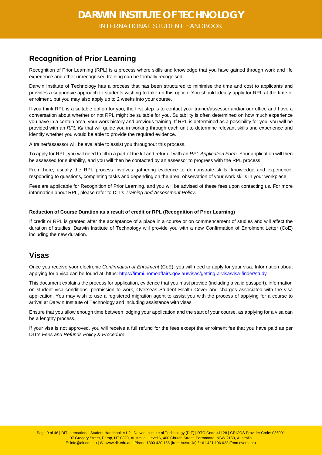### <span id="page-8-0"></span>**Recognition of Prior Learning**

Recognition of Prior Learning (RPL) is a process where skills and knowledge that you have gained through work and life experience and other unrecognised training can be formally recognised.

Darwin Institute of Technology has a process that has been structured to minimise the time and cost to applicants and provides a supportive approach to students wishing to take up this option. You should ideally apply for RPL at the time of enrolment, but you may also apply up to 2 weeks into your course.

If you think RPL is a suitable option for you, the first step is to contact your trainer/assessor and/or our office and have a conversation about whether or not RPL might be suitable for you. Suitability is often determined on how much experience you have in a certain area, your work history and previous training. If RPL is determined as a possibility for you, you will be provided with an *RPL Kit* that will guide you in working through each unit to determine relevant skills and experience and identify whether you would be able to provide the required evidence.

A trainer/assessor will be available to assist you throughout this process.

To apply for RPL, you will need to fill in a part of the kit and return it with an *RPL Application Form*. Your application will then be assessed for suitability, and you will then be contacted by an assessor to progress with the RPL process.

From here, usually the RPL process involves gathering evidence to demonstrate skills, knowledge and experience, responding to questions, completing tasks and depending on the area, observation of your work skills in your workplace.

Fees are applicable for Recognition of Prior Learning, and you will be advised of these fees upon contacting us. For more information about RPL, please refer to DIT's *Training and Assessment Policy*.

### **Reduction of Course Duration as a result of credit or RPL (Recognition of Prior Learning)**

If credit or RPL is granted after the acceptance of a place in a course or on commencement of studies and will affect the duration of studies, Darwin Institute of Technology will provide you with a new Confirmation of Enrolment Letter (CoE) including the new duration.

### <span id="page-8-1"></span>**Visas**

Once you receive your electronic *Confirmation of Enrolment* (CoE), you will need to apply for your visa. Information about applying for a visa can be found at: https: <https://immi.homeaffairs.gov.au/visas/getting-a-visa/visa-finder/study>

This document explains the process for application, evidence that you must provide (including a valid passport), information on student visa conditions, permission to work, Overseas Student Health Cover and charges associated with the visa application. You may wish to use a registered migration agent to assist you with the process of applying for a course to arrival at Darwin Institute of Technology and including assistance with visas

Ensure that you allow enough time between lodging your application and the start of your course, as applying for a visa can be a lengthy process.

If your visa is not approved, you will receive a full refund for the fees except the enrolment fee that you have paid as per DIT's *Fees and Refunds Policy & Procedure*.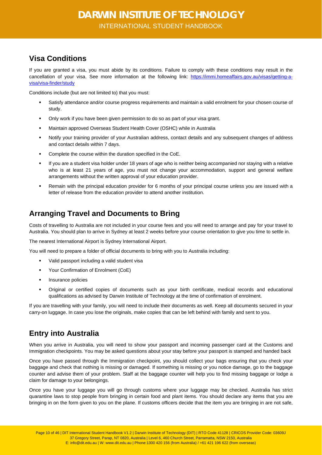### <span id="page-9-0"></span>**Visa Conditions**

If you are granted a visa, you must abide by its conditions. Failure to comply with these conditions may result in the cancellation of your visa. See more information at the following link: [https://immi.homeaffairs.gov.au/visas/getting-a](https://immi.homeaffairs.gov.au/visas/getting-a-visa/visa-finder/study)[visa/visa-finder/study](https://immi.homeaffairs.gov.au/visas/getting-a-visa/visa-finder/study)

Conditions include (but are not limited to) that you must:

- Satisfy attendance and/or course progress requirements and maintain a valid enrolment for your chosen course of study.
- Only work if you have been given permission to do so as part of your visa grant.
- Maintain approved Overseas Student Health Cover (OSHC) while in Australia
- Notify your training provider of your Australian address, contact details and any subsequent changes of address and contact details within 7 days.
- Complete the course within the duration specified in the CoE.
- If you are a student visa holder under 18 years of age who is neither being accompanied nor staying with a relative who is at least 21 years of age, you must not change your accommodation, support and general welfare arrangements without the written approval of your education provider.
- Remain with the principal education provider for 6 months of your principal course unless you are issued with a letter of release from the education provider to attend another institution.

### <span id="page-9-1"></span>**Arranging Travel and Documents to Bring**

Costs of travelling to Australia are not included in your course fees and you will need to arrange and pay for your travel to Australia. You should plan to arrive in Sydney at least 2 weeks before your course orientation to give you time to settle in.

The nearest International Airport is Sydney International Airport.

You will need to prepare a folder of official documents to bring with you to Australia including:

- Valid passport including a valid student visa
- Your Confirmation of Enrolment (CoE)
- Insurance policies
- Original or certified copies of documents such as your birth certificate, medical records and educational qualifications as advised by Darwin Institute of Technology at the time of confirmation of enrolment.

If you are travelling with your family, you will need to include their documents as well. Keep all documents secured in your carry-on luggage. In case you lose the originals, make copies that can be left behind with family and sent to you.

### <span id="page-9-2"></span>**Entry into Australia**

When you arrive in Australia, you will need to show your passport and incoming passenger card at the Customs and Immigration checkpoints. You may be asked questions about your stay before your passport is stamped and handed back

Once you have passed through the Immigration checkpoint, you should collect your bags ensuring that you check your baggage and check that nothing is missing or damaged. If something is missing or you notice damage, go to the baggage counter and advise them of your problem. Staff at the baggage counter will help you to find missing baggage or lodge a claim for damage to your belongings.

Once you have your luggage you will go through customs where your luggage may be checked. Australia has strict quarantine laws to stop people from bringing in certain food and plant items. You should declare any items that you are bringing in on the form given to you on the plane. If customs officers decide that the item you are bringing in are not safe,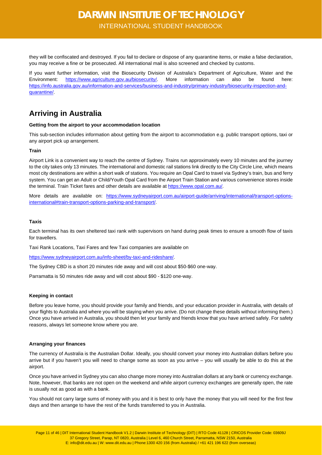they will be confiscated and destroyed. If you fail to declare or dispose of any quarantine items, or make a false declaration, you may receive a fine or be prosecuted. All international mail is also screened and checked by customs.

If you want further information, visit the Biosecurity Division of Australia's Department of Agriculture, Water and the Environment: [https://www.agriculture.gov.au/biosecurity/.](https://www.agriculture.gov.au/biosecurity/) More information can also be found here: [https://info.australia.gov.au/information-and-services/business-and-industry/primary-industry/biosecurity-inspection-and](https://info.australia.gov.au/information-and-services/business-and-industry/primary-industry/biosecurity-inspection-and-quarantine/)[quarantine/.](https://info.australia.gov.au/information-and-services/business-and-industry/primary-industry/biosecurity-inspection-and-quarantine/)

### <span id="page-10-0"></span>**Arriving in Australia**

#### **Getting from the airport to your accommodation location**

This sub-section includes information about getting from the airport to accommodation e.g. public transport options, taxi or any airport pick up arrangement.

### **Train**

Airport Link is a convenient way to reach the centre of Sydney. Trains run approximately every 10 minutes and the journey to the city takes only 13 minutes. The international and domestic rail stations link directly to the City Circle Line, which means most city destinations are within a short walk of stations. You require an Opal Card to travel via Sydney's train, bus and ferry system. You can get an Adult or Child/Youth Opal Card from the Airport Train Station and various convenience stores inside the terminal. Train Ticket fares and other details are available a[t https://www.opal.com.au/.](https://www.opal.com.au/)

More details are available on: [https://www.sydneyairport.com.au/airport-guide/arriving/international/transport-options](https://www.sydneyairport.com.au/airport-guide/arriving/international/transport-options-international#train-transport-options-parking-and-transport/)[international#train-transport-options-parking-and-transport/.](https://www.sydneyairport.com.au/airport-guide/arriving/international/transport-options-international#train-transport-options-parking-and-transport/)

#### **Taxis**

Each terminal has its own sheltered taxi rank with supervisors on hand during peak times to ensure a smooth flow of taxis for travellers.

Taxi Rank Locations, Taxi Fares and few Taxi companies are available on

[https://www.sydneyairport.com.au/info-sheet/by-taxi-and-rideshare/.](https://www.sydneyairport.com.au/info-sheet/by-taxi-and-rideshare/)

The Sydney CBD is a short 20 minutes ride away and will cost about \$50-\$60 one-way.

Parramatta is 50 minutes ride away and will cost about \$90 - \$120 one-way.

#### **Keeping in contact**

Before you leave home, you should provide your family and friends, and your education provider in Australia, with details of your flights to Australia and where you will be staying when you arrive. (Do not change these details without informing them.) Once you have arrived in Australia, you should then let your family and friends know that you have arrived safely. For safety reasons, always let someone know where you are.

#### **Arranging your finances**

The currency of Australia is the Australian Dollar. Ideally, you should convert your money into Australian dollars before you arrive but if you haven't you will need to change some as soon as you arrive – you will usually be able to do this at the airport.

Once you have arrived in Sydney you can also change more money into Australian dollars at any bank or currency exchange. Note, however, that banks are not open on the weekend and while airport currency exchanges are generally open, the rate is usually not as good as with a bank.

You should not carry large sums of money with you and it is best to only have the money that you will need for the first few days and then arrange to have the rest of the funds transferred to you in Australia.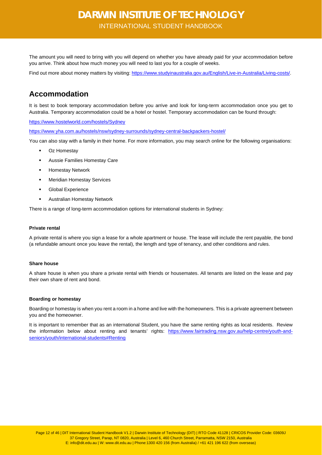The amount you will need to bring with you will depend on whether you have already paid for your accommodation before you arrive. Think about how much money you will need to last you for a couple of weeks.

Find out more about money matters by visiting[: https://www.studyinaustralia.gov.au/English/Live-in-Australia/Living-costs/.](https://www.studyinaustralia.gov.au/English/Live-in-Australia/Living-costs/)

### <span id="page-11-0"></span>**Accommodation**

It is best to book temporary accommodation before you arrive and look for long-term accommodation once you get to Australia. Temporary accommodation could be a hotel or hostel. Temporary accommodation can be found through:

<https://www.hostelworld.com/hostels/Sydney>

<https://www.yha.com.au/hostels/nsw/sydney-surrounds/sydney-central-backpackers-hostel/>

You can also stay with a family in their home. For more information, you may search online for the following organisations:

- Oz Homestay
- Aussie Families Homestay Care
- Homestay Network
- **EXEC** Meridian Homestay Services
- Global Experience
- Australian Homestay Network

There is a range of long-term accommodation options for international students in Sydney:

#### **Private rental**

A private rental is where you sign a lease for a whole apartment or house. The lease will include the rent payable, the bond (a refundable amount once you leave the rental), the length and type of tenancy, and other conditions and rules.

#### **Share house**

A share house is when you share a private rental with friends or housemates. All tenants are listed on the lease and pay their own share of rent and bond.

#### **Boarding or homestay**

Boarding or homestay is when you rent a room in a home and live with the homeowners. This is a private agreement between you and the homeowner.

It is important to remember that as an international Student, you have the same renting rights as local residents. Review the information below about renting and tenants' rights: [https://www.fairtrading.nsw.gov.au/help-centre/youth-and](https://www.fairtrading.nsw.gov.au/help-centre/youth-and-seniors/youth/international-students#Renting)[seniors/youth/international-students#Renting](https://www.fairtrading.nsw.gov.au/help-centre/youth-and-seniors/youth/international-students#Renting)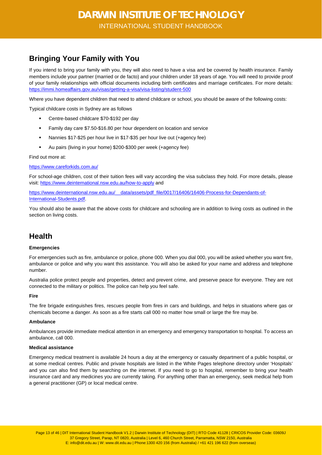### <span id="page-12-0"></span>**Bringing Your Family with You**

If you intend to bring your family with you, they will also need to have a visa and be covered by health insurance. Family members include your partner (married or de facto) and your children under 18 years of age. You will need to provide proof of your family relationships with official documents including birth certificates and marriage certificates. For more details: <https://immi.homeaffairs.gov.au/visas/getting-a-visa/visa-listing/student-500>

Where you have dependent children that need to attend childcare or school, you should be aware of the following costs:

Typical childcare costs in Sydney are as follows

- Centre-based childcare \$70-\$192 per day
- Family day care \$7.50-\$16.80 per hour dependent on location and service
- Nannies \$17-\$25 per hour live in \$17-\$35 per hour live out (+agency fee)
- Au pairs (living in your home) \$200-\$300 per week (+agency fee)

#### Find out more at:

#### <https://www.careforkids.com.au/>

For school-age children, cost of their tuition fees will vary according the visa subclass they hold. For more details, please visit[: https://www.deinternational.nsw.edu.au/how-to-apply](https://www.deinternational.nsw.edu.au/how-to-apply) and

[https://www.deinternational.nsw.edu.au/\\_\\_data/assets/pdf\\_file/0017/16406/16406-Process-for-Dependants-of-](https://www.deinternational.nsw.edu.au/__data/assets/pdf_file/0017/16406/16406-Process-for-Dependants-of-International-Students.pdf)[International-Students.pdf.](https://www.deinternational.nsw.edu.au/__data/assets/pdf_file/0017/16406/16406-Process-for-Dependants-of-International-Students.pdf)

You should also be aware that the above costs for childcare and schooling are in addition to living costs as outlined in the section on living costs.

### <span id="page-12-1"></span>**Health**

### **Emergencies**

For emergencies such as fire, ambulance or police, phone 000. When you dial 000, you will be asked whether you want fire, ambulance or police and why you want this assistance. You will also be asked for your name and address and telephone number.

Australia police protect people and properties, detect and prevent crime, and preserve peace for everyone. They are not connected to the military or politics. The police can help you feel safe.

#### **Fire**

The fire brigade extinguishes fires, rescues people from fires in cars and buildings, and helps in situations where gas or chemicals become a danger. As soon as a fire starts call 000 no matter how small or large the fire may be.

#### **Ambulance**

Ambulances provide immediate medical attention in an emergency and emergency transportation to hospital. To access an ambulance, call 000.

#### **Medical assistance**

Emergency medical treatment is available 24 hours a day at the emergency or casualty department of a public hospital, or at some medical centres. Public and private hospitals are listed in the White Pages telephone directory under 'Hospitals' and you can also find them by searching on the internet. If you need to go to hospital, remember to bring your health insurance card and any medicines you are currently taking. For anything other than an emergency, seek medical help from a general practitioner (GP) or local medical centre.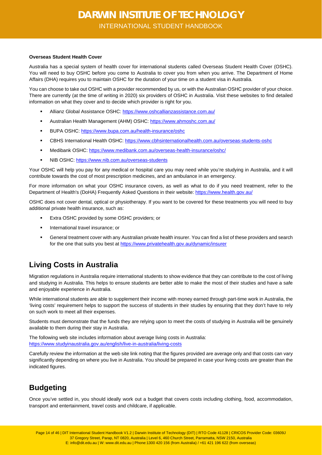### **Overseas Student Health Cover**

Australia has a special system of health cover for international students called Overseas Student Health Cover (OSHC). You will need to buy OSHC before you come to Australia to cover you from when you arrive. The Department of Home Affairs (DHA) requires you to maintain OSHC for the duration of your time on a student visa in Australia.

You can choose to take out OSHC with a provider recommended by us, or with the Australian OSHC provider of your choice. There are currently (at the time of writing in 2020) six providers of OSHC in Australia. Visit these websites to find detailed information on what they cover and to decide which provider is right for you.

- Allianz Global Assistance OSHC:<https://www.oshcallianzassistance.com.au/>
- Australian Health Management (AHM) OSHC:<https://www.ahmoshc.com.au/>
- **BUPA OSHC:<https://www.bupa.com.au/health-insurance/oshc>**
- CBHS International Health OSHC:<https://www.cbhsinternationalhealth.com.au/overseas-students-oshc>
- Medibank OSHC:<https://www.medibank.com.au/overseas-health-insurance/oshc/>
- **NIB OSHC:<https://www.nib.com.au/overseas-students>**

Your OSHC will help you pay for any medical or hospital care you may need while you're studying in Australia, and it will contribute towards the cost of most prescription medicines, and an ambulance in an emergency.

For more information on what your OSHC insurance covers, as well as what to do if you need treatment, refer to the Department of Health's (DoHA) Frequently Asked Questions in their website[: https://www.health.gov.au/](https://www.health.gov.au/)

OSHC does not cover dental, optical or physiotherapy. If you want to be covered for these treatments you will need to buy additional private health insurance, such as:

- Extra OSHC provided by some OSHC providers; or
- International travel insurance; or
- General treatment cover with any Australian private health insurer. You can find a list of these providers and search for the one that suits you best at<https://www.privatehealth.gov.au/dynamic/insurer>

### <span id="page-13-0"></span>**Living Costs in Australia**

Migration regulations in Australia require international students to show evidence that they can contribute to the cost of living and studying in Australia. This helps to ensure students are better able to make the most of their studies and have a safe and enjoyable experience in Australia.

While international students are able to supplement their income with money earned through part-time work in Australia, the 'living costs' requirement helps to support the success of students in their studies by ensuring that they don't have to rely on such work to meet all their expenses.

Students must demonstrate that the funds they are relying upon to meet the costs of studying in Australia will be genuinely available to them during their stay in Australia.

The following web site includes information about average living costs in Australia: <https://www.studyinaustralia.gov.au/english/live-in-australia/living-costs>

Carefully review the information at the web site link noting that the figures provided are average only and that costs can vary significantly depending on where you live in Australia. You should be prepared in case your living costs are greater than the indicated figures.

### <span id="page-13-1"></span>**Budgeting**

Once you've settled in, you should ideally work out a budget that covers costs including clothing, food, accommodation, transport and entertainment, travel costs and childcare, if applicable.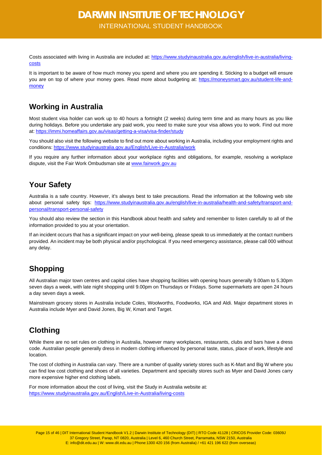INTERNATIONAL STUDENT HANDBOOK

Costs associated with living in Australia are included at: [https://www.studyinaustralia.gov.au/english/live-in-australia/living](https://www.studyinaustralia.gov.au/english/live-in-australia/living-costs)[costs](https://www.studyinaustralia.gov.au/english/live-in-australia/living-costs)

It is important to be aware of how much money you spend and where you are spending it. Sticking to a budget will ensure you are on top of where your money goes. Read more about budgeting at: [https://moneysmart.gov.au/student-life-and](https://moneysmart.gov.au/student-life-and-money)**[money](https://moneysmart.gov.au/student-life-and-money)** 

### <span id="page-14-0"></span>**Working in Australia**

Most student visa holder can work up to 40 hours a fortnight (2 weeks) during term time and as many hours as you like during holidays. Before you undertake any paid work, you need to make sure your visa allows you to work. Find out more at[: https://immi.homeaffairs.gov.au/visas/getting-a-visa/visa-finder/study](https://immi.homeaffairs.gov.au/visas/getting-a-visa/visa-finder/study)

You should also visit the following website to find out more about working in Australia, including your employment rights and conditions[: https://www.studyinaustralia.gov.au/English/Live-in-Australia/work](https://www.studyinaustralia.gov.au/English/Live-in-Australia/work)

If you require any further information about your workplace rights and obligations, for example, resolving a workplace dispute, visit the Fair Work Ombudsman site at [www.fairwork.gov.au](http://www.fairwork.gov.au/)

### <span id="page-14-1"></span>**Your Safety**

Australia is a safe country. However, it's always best to take precautions. Read the information at the following web site about personal safety tips: [https://www.studyinaustralia.gov.au/english/live-in-australia/health-and-safety/transport-and](https://www.studyinaustralia.gov.au/english/live-in-australia/health-and-safety/transport-and-personal/transport-personal-safety)[personal/transport-personal-safety](https://www.studyinaustralia.gov.au/english/live-in-australia/health-and-safety/transport-and-personal/transport-personal-safety)

You should also review the section in this Handbook about health and safety and remember to listen carefully to all of the information provided to you at your orientation.

If an incident occurs that has a significant impact on your well-being, please speak to us immediately at the contact numbers provided. An incident may be both physical and/or psychological. If you need emergency assistance, please call 000 without any delay.

### <span id="page-14-2"></span>**Shopping**

All Australian major town centres and capital cities have shopping facilities with opening hours generally 9.00am to 5.30pm seven days a week, with late night shopping until 9.00pm on Thursdays or Fridays. Some supermarkets are open 24 hours a day seven days a week.

Mainstream grocery stores in Australia include Coles, Woolworths, Foodworks, IGA and Aldi. Major department stores in Australia include Myer and David Jones, Big W, Kmart and Target.

### <span id="page-14-3"></span>**Clothing**

While there are no set rules on clothing in Australia, however many workplaces, restaurants, clubs and bars have a dress code. Australian people generally dress in modern clothing influenced by personal taste, status, place of work, lifestyle and location.

The cost of clothing in Australia can vary. There are a number of quality variety stores such as K-Mart and Big W where you can find low cost clothing and shoes of all varieties. Department and specialty stores such as Myer and David Jones carry more expensive higher end clothing labels.

For more information about the cost of living, visit the Study in Australia website at: <https://www.studyinaustralia.gov.au/English/Live-in-Australia/living-costs>

Page 15 of 46 | DIT International Student Handbook V1.2 | Darwin Institute of Technology (DIT) | RTO Code 41128 | CRICOS Provider Code: 03609J 37 Gregory Street, Parap, NT 0820, Australia | Level 6, 460 Church Street, Parramatta, NSW 2150, Australia E: info@dit.edu.au | W: www.dit.edu.au | Phone:1300 420 156 (from Australia) / +61 421 196 622 (from overseas)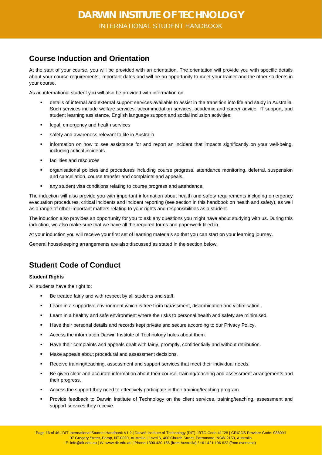### <span id="page-15-0"></span>**Course Induction and Orientation**

At the start of your course, you will be provided with an orientation. The orientation will provide you with specific details about your course requirements, important dates and will be an opportunity to meet your trainer and the other students in your course.

As an international student you will also be provided with information on:

- details of internal and external support services available to assist in the transition into life and study in Australia. Such services include welfare services, accommodation services, academic and career advice, IT support, and student learning assistance, English language support and social inclusion activities.
- **EXEC** legal, emergency and health services
- safety and awareness relevant to life in Australia
- information on how to see assistance for and report an incident that impacts significantly on your well-being, including critical incidents
- **EXEC** facilities and resources
- organisational policies and procedures including course progress, attendance monitoring, deferral, suspension and cancellation, course transfer and complaints and appeals.
- any student visa conditions relating to course progress and attendance.

The induction will also provide you with important information about health and safety requirements including emergency evacuation procedures, critical incidents and incident reporting (see section in this handbook on health and safety), as well as a range of other important matters relating to your rights and responsibilities as a student.

The induction also provides an opportunity for you to ask any questions you might have about studying with us. During this induction, we also make sure that we have all the required forms and paperwork filled in.

At your induction you will receive your first set of learning materials so that you can start on your learning journey.

<span id="page-15-1"></span>General housekeeping arrangements are also discussed as stated in the section below.

### **Student Code of Conduct**

#### **Student Rights**

All students have the right to:

- Be treated fairly and with respect by all students and staff.
- Learn in a supportive environment which is free from harassment, discrimination and victimisation.
- Learn in a healthy and safe environment where the risks to personal health and safety are minimised.
- Have their personal details and records kept private and secure according to our Privacy Policy.
- **Access the information Darwin Institute of Technology holds about them.**
- Have their complaints and appeals dealt with fairly, promptly, confidentially and without retribution.
- **Make appeals about procedural and assessment decisions.**
- Receive training/teaching, assessment and support services that meet their individual needs.
- **Be given clear and accurate information about their course, training/teaching and assessment arrangements and** their progress.
- Access the support they need to effectively participate in their training/teaching program.
- Provide feedback to Darwin Institute of Technology on the client services, training/teaching, assessment and support services they receive.

Page 16 of 46 | DIT International Student Handbook V1.2 | Darwin Institute of Technology (DIT) | RTO Code 41128 | CRICOS Provider Code: 03609J 37 Gregory Street, Parap, NT 0820, Australia | Level 6, 460 Church Street, Parramatta, NSW 2150, Australia E: info@dit.edu.au | W: www.dit.edu.au | Phone:1300 420 156 (from Australia) / +61 421 196 622 (from overseas)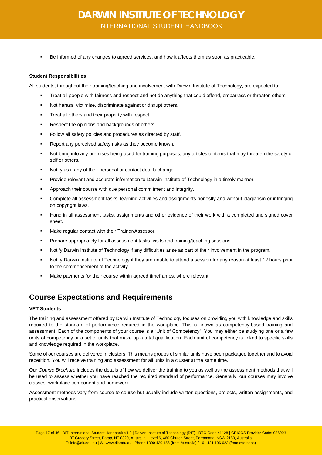Be informed of any changes to agreed services, and how it affects them as soon as practicable.

#### **Student Responsibilities**

All students, throughout their training/teaching and involvement with Darwin Institute of Technology, are expected to:

- Treat all people with fairness and respect and not do anything that could offend, embarrass or threaten others.
- Not harass, victimise, discriminate against or disrupt others.
- **Treat all others and their property with respect.**
- Respect the opinions and backgrounds of others.
- **Follow all safety policies and procedures as directed by staff.**
- Report any perceived safety risks as they become known.
- Not bring into any premises being used for training purposes, any articles or items that may threaten the safety of self or others.
- Notify us if any of their personal or contact details change.
- **Provide relevant and accurate information to Darwin Institute of Technology in a timely manner.**
- Approach their course with due personal commitment and integrity.
- Complete all assessment tasks, learning activities and assignments honestly and without plagiarism or infringing on copyright laws.
- Hand in all assessment tasks, assignments and other evidence of their work with a completed and signed cover sheet.
- Make regular contact with their Trainer/Assessor.
- **Prepare appropriately for all assessment tasks, visits and training/teaching sessions.**
- Notify Darwin Institute of Technology if any difficulties arise as part of their involvement in the program.
- Notify Darwin Institute of Technology if they are unable to attend a session for any reason at least 12 hours prior to the commencement of the activity.
- Make payments for their course within agreed timeframes, where relevant.

### <span id="page-16-0"></span>**Course Expectations and Requirements**

#### **VET Students**

The training and assessment offered by Darwin Institute of Technology focuses on providing you with knowledge and skills required to the standard of performance required in the workplace. This is known as competency-based training and assessment. Each of the components of your course is a "Unit of Competency". You may either be studying one or a few units of competency or a set of units that make up a total qualification. Each unit of competency is linked to specific skills and knowledge required in the workplace.

Some of our courses are delivered in clusters. This means groups of similar units have been packaged together and to avoid repetition. You will receive training and assessment for all units in a cluster at the same time.

Our *Course Brochure* includes the details of how we deliver the training to you as well as the assessment methods that will be used to assess whether you have reached the required standard of performance. Generally, our courses may involve classes, workplace component and homework.

Assessment methods vary from course to course but usually include written questions, projects, written assignments, and practical observations.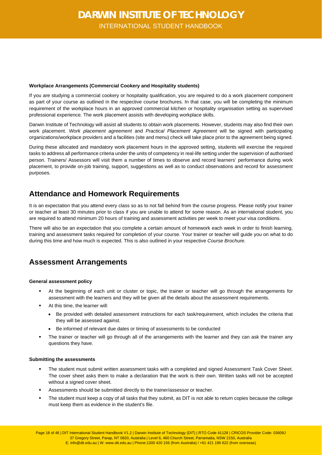#### **Workplace Arrangements (Commercial Cookery and Hospitality students)**

If you are studying a commercial cookery or hospitality qualification, you are required to do a work placement component as part of your course as outlined in the respective course brochures. In that case, you will be completing the minimum requirement of the workplace hours in an approved commercial kitchen or hospitality organisation setting as supervised professional experience. The work placement assists with developing workplace skills.

Darwin Institute of Technology will assist all students to obtain work placements. However, students may also find their own work placement. *Work placement agreement* and *Practical Placement Agreement* will be signed with participating organizations/workplace providers and a facilities (site and menu) check will take place prior to the agreement being signed.

During these allocated and mandatory work placement hours in the approved setting, students will exercise the required tasks to address all performance criteria under the units of competency in real-life setting under the supervision of authorised person. Trainers/ Assessors will visit them a number of times to observe and record learners' performance during work placement, to provide on-job training, support, suggestions as well as to conduct observations and record for assessment purposes.

### <span id="page-17-0"></span>**Attendance and Homework Requirements**

It is an expectation that you attend every class so as to not fall behind from the course progress. Please notify your trainer or teacher at least 30 minutes prior to class if you are unable to attend for some reason. As an international student, you are required to attend minimum 20 hours of training and assessment activities per week to meet your visa conditions.

There will also be an expectation that you complete a certain amount of homework each week in order to finish learning, training and assessment tasks required for completion of your course. Your trainer or teacher will guide you on what to do during this time and how much is expected. This is also outlined in your respective *Course Brochure*.

### <span id="page-17-1"></span>**Assessment Arrangements**

### **General assessment policy**

- At the beginning of each unit or cluster or topic, the trainer or teacher will go through the arrangements for assessment with the learners and they will be given all the details about the assessment requirements.
- At this time, the learner will:
	- Be provided with detailed assessment instructions for each task/requirement, which includes the criteria that they will be assessed against.
	- Be informed of relevant due dates or timing of assessments to be conducted
- The trainer or teacher will go through all of the arrangements with the learner and they can ask the trainer any questions they have.

### **Submitting the assessments**

- The student must submit written assessment tasks with a completed and signed Assessment Task Cover Sheet. The cover sheet asks them to make a declaration that the work is their own. Written tasks will not be accepted without a signed cover sheet.
- Assessments should be submitted directly to the trainer/assessor or teacher.
- The student must keep a copy of all tasks that they submit, as DIT is not able to return copies because the college must keep them as evidence in the student's file.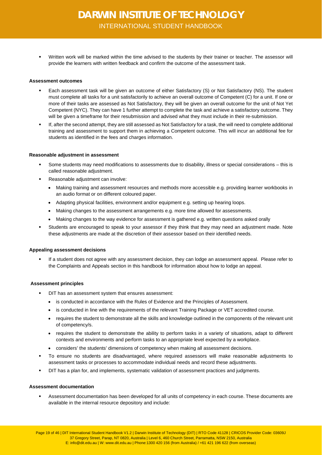Written work will be marked within the time advised to the students by their trainer or teacher. The assessor will provide the learners with written feedback and confirm the outcome of the assessment task.

#### **Assessment outcomes**

- Each assessment task will be given an outcome of either Satisfactory (S) or Not Satisfactory (NS). The student must complete all tasks for a unit satisfactorily to achieve an overall outcome of Competent (C) for a unit. If one or more of their tasks are assessed as Not Satisfactory, they will be given an overall outcome for the unit of Not Yet Competent (NYC). They can have 1 further attempt to complete the task and achieve a satisfactory outcome. They will be given a timeframe for their resubmission and advised what they must include in their re-submission.
- If, after the second attempt, they are still assessed as Not Satisfactory for a task, the will need to complete additional training and assessment to support them in achieving a Competent outcome. This will incur an additional fee for students as identified in the fees and charges information.

#### **Reasonable adjustment in assessment**

- Some students may need modifications to assessments due to disability, illness or special considerations this is called reasonable adjustment.
- Reasonable adjustment can involve:
	- Making training and assessment resources and methods more accessible e.g. providing learner workbooks in an audio format or on different coloured paper.
	- Adapting physical facilities, environment and/or equipment e.g. setting up hearing loops.
	- Making changes to the assessment arrangements e.g. more time allowed for assessments.
	- Making changes to the way evidence for assessment is gathered e.g. written questions asked orally
- Students are encouraged to speak to your assessor if they think that they may need an adjustment made. Note these adjustments are made at the discretion of their assessor based on their identified needs.

#### **Appealing assessment decisions**

 If a student does not agree with any assessment decision, they can lodge an assessment appeal. Please refer to the Complaints and Appeals section in this handbook for information about how to lodge an appeal.

#### **Assessment principles**

- DIT has an assessment system that ensures assessment:
	- is conducted in accordance with the Rules of Evidence and the Principles of Assessment.
	- is conducted in line with the requirements of the relevant Training Package or VET accredited course.
	- requires the student to demonstrate all the skills and knowledge outlined in the components of the relevant unit of competency/s.
	- requires the student to demonstrate the ability to perform tasks in a variety of situations, adapt to different contexts and environments and perform tasks to an appropriate level expected by a workplace.
	- considers' the students' dimensions of competency when making all assessment decisions.
- To ensure no students are disadvantaged, where required assessors will make reasonable adjustments to assessment tasks or processes to accommodate individual needs and record these adjustments.
- DIT has a plan for, and implements, systematic validation of assessment practices and judgments.

#### **Assessment documentation**

 Assessment documentation has been developed for all units of competency in each course. These documents are available in the internal resource depository and include: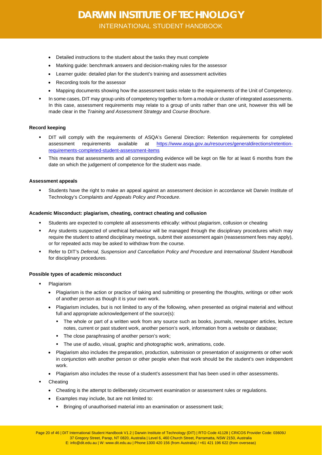- Detailed instructions to the student about the tasks they must complete
- Marking guide: benchmark answers and decision-making rules for the assessor
- Learner guide: detailed plan for the student's training and assessment activities
- Recording tools for the assessor
- Mapping documents showing how the assessment tasks relate to the requirements of the Unit of Competency.
- In some cases, DIT may group units of competency together to form a module or cluster of integrated assessments. In this case, assessment requirements may relate to a group of units rather than one unit, however this will be made clear in the *Training and Assessment Strategy* and *Course Brochure*.

### **Record keeping**

- DIT will comply with the requirements of ASQA's General Direction: Retention requirements for completed assessment requirements available at [https://www.asqa.gov.au/resources/generaldirections/retention](https://www.asqa.gov.au/resources/generaldirections/retention-requirements-completed-student-assessment-items)[requirements-completed-student-assessment-items](https://www.asqa.gov.au/resources/generaldirections/retention-requirements-completed-student-assessment-items)
- This means that assessments and all corresponding evidence will be kept on file for at least 6 months from the date on which the judgement of competence for the student was made.

#### **Assessment appeals**

 Students have the right to make an appeal against an assessment decision in accordance wit Darwin Institute of Technology's *Complaints and Appeals Policy and Procedure*.

#### **Academic Misconduct: plagiarism, cheating, contract cheating and collusion**

- Students are expected to complete all assessments ethically: without plagiarism, collusion or cheating
- Any students suspected of unethical behaviour will be managed through the disciplinary procedures which may require the student to attend disciplinary meetings, submit their assessment again (reassessment fees may apply), or for repeated acts may be asked to withdraw from the course.
- Refer to DIT's *Deferral, Suspension and Cancellation Policy and Procedure* and *International Student Handbook* for disciplinary procedures.

#### **Possible types of academic misconduct**

- Plagiarism
	- Plagiarism is the action or practice of taking and submitting or presenting the thoughts, writings or other work of another person as though it is your own work.
	- Plagiarism includes, but is not limited to any of the following, when presented as original material and without full and appropriate acknowledgement of the source(s):
		- The whole or part of a written work from any source such as books, journals, newspaper articles, lecture notes, current or past student work, another person's work, information from a website or database;
		- The close paraphrasing of another person's work;
		- The use of audio, visual, graphic and photographic work, animations, code.
	- Plagiarism also includes the preparation, production, submission or presentation of assignments or other work in conjunction with another person or other people when that work should be the student's own independent work.
	- Plagiarism also includes the reuse of a student's assessment that has been used in other assessments.
- **Cheating** 
	- Cheating is the attempt to deliberately circumvent examination or assessment rules or regulations.
	- Examples may include, but are not limited to:
		- Bringing of unauthorised material into an examination or assessment task;

Page 20 of 46 | DIT International Student Handbook V1.2 | Darwin Institute of Technology (DIT) | RTO Code 41128 | CRICOS Provider Code: 03609J 37 Gregory Street, Parap, NT 0820, Australia | Level 6, 460 Church Street, Parramatta, NSW 2150, Australia E: info@dit.edu.au | W: www.dit.edu.au | Phone:1300 420 156 (from Australia) / +61 421 196 622 (from overseas)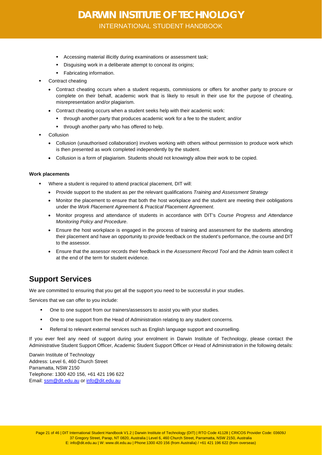- Accessing material illicitly during examinations or assessment task;
- Disguising work in a deliberate attempt to conceal its origins;
- Fabricating information.
- Contract cheating
	- Contract cheating occurs when a student requests, commissions or offers for another party to procure or complete on their behalf, academic work that is likely to result in their use for the purpose of cheating, misrepresentation and/or plagiarism.
	- Contract cheating occurs when a student seeks help with their academic work:
		- through another party that produces academic work for a fee to the student; and/or
		- through another party who has offered to help.
- Collusion
	- Collusion (unauthorised collaboration) involves working with others without permission to produce work which is then presented as work completed independently by the student.
	- Collusion is a form of plagiarism. Students should not knowingly allow their work to be copied.

#### **Work placements**

- Where a student is required to attend practical placement, DIT will:
	- Provide support to the student as per the relevant qualifications *Training and Assessment Strategy*
	- Monitor the placement to ensure that both the host workplace and the student are meeting their oobligations under the *Work Placement Agreement* & *Practical Placement Agreement*.
	- Monitor progress and attendance of students in accordance with DIT's *Course Progress and Attendance Monitoring Policy and Procedure*.
	- Ensure the host workplace is engaged in the process of training and assessment for the students attending their placement and have an opportunity to provide feedback on the student's performance, the course and DIT to the assessor.
	- Ensure that the assessor records their feedback in the *Assessment Record Tool* and the Admin team collect it at the end of the term for student evidence.

### <span id="page-20-0"></span>**Support Services**

We are committed to ensuring that you get all the support you need to be successful in your studies.

Services that we can offer to you include:

- One to one support from our trainers/assessors to assist you with your studies.
- **•** One to one support from the Head of Administration relating to any student concerns.
- Referral to relevant external services such as English language support and counselling.

If you ever feel any need of support during your enrolment in Darwin Institute of Technology, please contact the Administrative Student Support Officer, Academic Student Support Officer or Head of Administration in the following details:

Darwin Institute of Technology Address: Level 6, 460 Church Street Parramatta, NSW 2150 Telephone: 1300 420 156, +61 421 196 622 Email: [ssm@dit.edu.au](mailto:ssm@dit.edu.au) o[r info@dit.edu.au](mailto:info@dit.edu.au)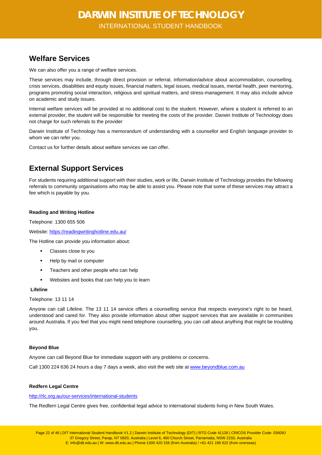### <span id="page-21-0"></span>**Welfare Services**

We can also offer you a range of welfare services.

These services may include, through direct provision or referral, information/advice about accommodation, counselling, crisis services, disabilities and equity issues, financial matters, legal issues, medical issues, mental health, peer mentoring, programs promoting social interaction, religious and spiritual matters, and stress-management. It may also include advice on academic and study issues.

Internal welfare services will be provided at no additional cost to the student. However, where a student is referred to an external provider, the student will be responsible for meeting the costs of the provider. Darwin Institute of Technology does not charge for such referrals to the provider

Darwin Institute of Technology has a memorandum of understanding with a counsellor and English language provider to whom we can refer you.

Contact us for further details about welfare services we can offer.

### <span id="page-21-1"></span>**External Support Services**

For students requiring additional support with their studies, work or life, Darwin Institute of Technology provides the following referrals to community organisations who may be able to assist you. Please note that some of these services may attract a fee which is payable by you.

### **Reading and Writing Hotline**

Telephone: 1300 655 506

Website[: https://readingwritinghotline.edu.au/](https://readingwritinghotline.edu.au/)

The Hotline can provide you information about:

- Classes close to you
- Help by mail or computer
- Teachers and other people who can help
- Websites and books that can help you to learn

### **Lifeline**

Telephone: 13 11 14

Anyone can call Lifeline. The 13 11 14 service offers a counselling service that respects everyone's right to be heard, understood and cared for. They also provide information about other support services that are available in communities around Australia. If you feel that you might need telephone counselling, you can call about anything that might be troubling you.

### **Beyond Blue**

Anyone can call Beyond Blue for immediate support with any problems or concerns.

Call 1300 224 636 24 hours a day 7 days a week, also visit the web site a[t www.beyondblue.com.au](http://www.beyondblue.com.au/)

### **Redfern Legal Centre**

<http://rlc.org.au/our-services/international-students>

The Redfern Legal Centre gives free, confidential legal advice to international students living in New South Wales.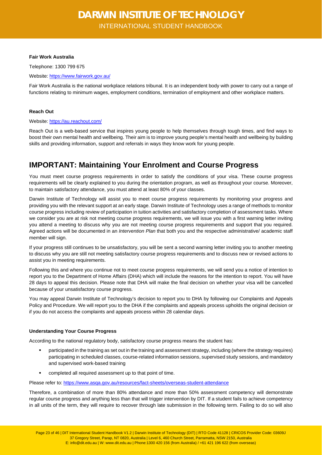#### **Fair Work Australia**

Telephone: 1300 799 675

Website[: https://www.fairwork.gov.au/](https://www.fairwork.gov.au/)

Fair Work Australia is the national workplace relations tribunal. It is an independent body with power to carry out a range of functions relating to minimum wages, employment conditions, termination of employment and other workplace matters.

#### **Reach Out**

#### Website[: https://au.reachout.com/](https://au.reachout.com/)

Reach Out is a web-based service that inspires young people to help themselves through tough times, and find ways to boost their own mental health and wellbeing. Their aim is to improve young people's mental health and wellbeing by building skills and providing information, support and referrals in ways they know work for young people.

### <span id="page-22-0"></span>**IMPORTANT: Maintaining Your Enrolment and Course Progress**

You must meet course progress requirements in order to satisfy the conditions of your visa. These course progress requirements will be clearly explained to you during the orientation program, as well as throughout your course. Moreover, to maintain satisfactory attendance, you must attend at least 80% of your classes.

Darwin Institute of Technology will assist you to meet course progress requirements by monitoring your progress and providing you with the relevant support at an early stage. Darwin Institute of Technology uses a range of methods to monitor course progress including review of participation in tuition activities and satisfactory completion of assessment tasks. Where we consider you are at risk not meeting course progress requirements, we will issue you with a first warning letter inviting you attend a meeting to discuss why you are not meeting course progress requirements and support that you required. Agreed actions will be documented in an *Intervention Plan* that both you and the respective administrative/ academic staff member will sign.

If your progress still continues to be unsatisfactory, you will be sent a second warning letter inviting you to another meeting to discuss why you are still not meeting satisfactory course progress requirements and to discuss new or revised actions to assist you in meeting requirements.

Following this and where you continue not to meet course progress requirements, we will send you a notice of intention to report you to the Department of Home Affairs (DHA) which will include the reasons for the intention to report. You will have 28 days to appeal this decision. Please note that DHA will make the final decision on whether your visa will be cancelled because of your unsatisfactory course progress.

You may appeal Darwin Institute of Technology's decision to report you to DHA by following our Complaints and Appeals Policy and Procedure. We will report you to the DHA if the complaints and appeals process upholds the original decision or if you do not access the complaints and appeals process within 28 calendar days.

### **Understanding Your Course Progress**

According to the national regulatory body, satisfactory course progress means the student has:

- participated in the training as set out in the training and assessment strategy, including (where the strategy requires) participating in scheduled classes, course-related information sessions, supervised study sessions, and mandatory and supervised work-based training
- completed all required assessment up to that point of time.

Please refer to[: https://www.asqa.gov.au/resources/fact-sheets/overseas-student-attendance](https://www.asqa.gov.au/resources/fact-sheets/overseas-student-attendance)

Therefore, a combination of more than 80% attendance and more than 50% assessment competency will demonstrate regular course progress and anything less than that will trigger intervention by DIT. If a student fails to achieve competency in all units of the term, they will require to recover through late submission in the following term. Failing to do so will also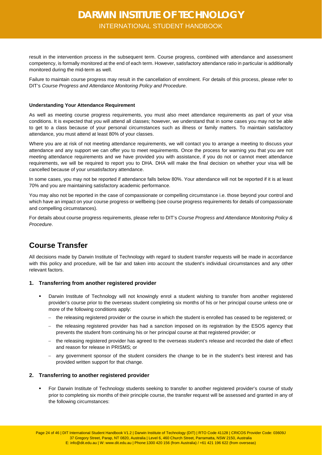result in the intervention process in the subsequent term. Course progress, combined with attendance and assessment competency, is formally monitored at the end of each term. However, satisfactory attendance ratio in particular is additionally monitored during the mid-term as well.

Failure to maintain course progress may result in the cancellation of enrolment. For details of this process, please refer to DIT's *Course Progress and Attendance Monitoring Policy and Procedure*.

#### **Understanding Your Attendance Requirement**

As well as meeting course progress requirements, you must also meet attendance requirements as part of your visa conditions. It is expected that you will attend all classes; however, we understand that in some cases you may not be able to get to a class because of your personal circumstances such as illness or family matters. To maintain satisfactory attendance, you must attend at least 80% of your classes.

Where you are at risk of not meeting attendance requirements, we will contact you to arrange a meeting to discuss your attendance and any support we can offer you to meet requirements. Once the process for warning you that you are not meeting attendance requirements and we have provided you with assistance, if you do not or cannot meet attendance requirements, we will be required to report you to DHA. DHA will make the final decision on whether your visa will be cancelled because of your unsatisfactory attendance.

In some cases, you may not be reported if attendance falls below 80%. Your attendance will not be reported if it is at least 70% and you are maintaining satisfactory academic performance.

You may also not be reported in the case of compassionate or compelling circumstance i.e. those beyond your control and which have an impact on your course progress or wellbeing (see course progress requirements for details of compassionate and compelling circumstances).

For details about course progress requirements, please refer to DIT's *Course Progress and Attendance Monitoring Policy & Procedure*.

### <span id="page-23-0"></span>**Course Transfer**

All decisions made by Darwin Institute of Technology with regard to student transfer requests will be made in accordance with this policy and procedure, will be fair and taken into account the student's individual circumstances and any other relevant factors.

### <span id="page-23-1"></span>**1. Transferring from another registered provider**

- Darwin Institute of Technology will not knowingly enrol a student wishing to transfer from another registered provider's course prior to the overseas student completing six months of his or her principal course unless one or more of the following conditions apply:
	- − the releasing registered provider or the course in which the student is enrolled has ceased to be registered; or
	- − the releasing registered provider has had a sanction imposed on its registration by the ESOS agency that prevents the student from continuing his or her principal course at that registered provider; or
	- − the releasing registered provider has agreed to the overseas student's release and recorded the date of effect and reason for release in PRISMS; or
	- − any government sponsor of the student considers the change to be in the student's best interest and has provided written support for that change.

### <span id="page-23-2"></span>**2. Transferring to another registered provider**

 For Darwin Institute of Technology students seeking to transfer to another registered provider's course of study prior to completing six months of their principle course, the transfer request will be assessed and granted in any of the following circumstances:

Page 24 of 46 | DIT International Student Handbook V1.2 | Darwin Institute of Technology (DIT) | RTO Code 41128 | CRICOS Provider Code: 03609J 37 Gregory Street, Parap, NT 0820, Australia | Level 6, 460 Church Street, Parramatta, NSW 2150, Australia E: info@dit.edu.au | W: www.dit.edu.au | Phone:1300 420 156 (from Australia) / +61 421 196 622 (from overseas)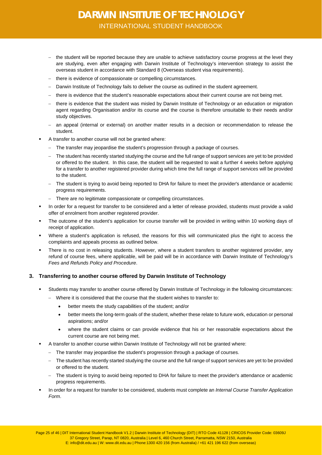- − the student will be reported because they are unable to achieve satisfactory course progress at the level they are studying, even after engaging with Darwin Institute of Technology's intervention strategy to assist the overseas student in accordance with Standard 8 (Overseas student visa requirements).
- − there is evidence of compassionate or compelling circumstances.
- − Darwin Institute of Technology fails to deliver the course as outlined in the student agreement.
- − there is evidence that the student's reasonable expectations about their current course are not being met.
- − there is evidence that the student was misled by Darwin Institute of Technology or an education or migration agent regarding Organisation and/or its course and the course is therefore unsuitable to their needs and/or study objectives.
- − an appeal (internal or external) on another matter results in a decision or recommendation to release the student.
- A transfer to another course will not be granted where:
	- − The transfer may jeopardise the student's progression through a package of courses.
	- − The student has recently started studying the course and the full range of support services are yet to be provided or offered to the student. In this case, the student will be requested to wait a further 4 weeks before applying for a transfer to another registered provider during which time the full range of support services will be provided to the student.
	- − The student is trying to avoid being reported to DHA for failure to meet the provider's attendance or academic progress requirements.
	- − There are no legitimate compassionate or compelling circumstances.
- In order for a request for transfer to be considered and a letter of release provided, students must provide a valid offer of enrolment from another registered provider.
- The outcome of the student's application for course transfer will be provided in writing within 10 working days of receipt of application.
- Where a student's application is refused, the reasons for this will communicated plus the right to access the complaints and appeals process as outlined below.
- There is no cost in releasing students. However, where a student transfers to another registered provider, any refund of course fees, where applicable, will be paid will be in accordance with Darwin Institute of Technology's *Fees and Refunds Policy and Procedure*.

### <span id="page-24-0"></span>**3. Transferring to another course offered by Darwin Institute of Technology**

- Students may transfer to another course offered by Darwin Institute of Technology in the following circumstances:
	- − Where it is considered that the course that the student wishes to transfer to:
		- better meets the study capabilities of the student; and/or
		- better meets the long-term goals of the student, whether these relate to future work, education or personal aspirations; and/or
		- where the student claims or can provide evidence that his or her reasonable expectations about the current course are not being met.
- A transfer to another course within Darwin Institute of Technology will not be granted where:
	- − The transfer may jeopardise the student's progression through a package of courses.
	- − The student has recently started studying the course and the full range of support services are yet to be provided or offered to the student.
	- − The student is trying to avoid being reported to DHA for failure to meet the provider's attendance or academic progress requirements.
- In order for a request for transfer to be considered, students must complete an *Internal Course Transfer Application Form*.

Page 25 of 46 | DIT International Student Handbook V1.2 | Darwin Institute of Technology (DIT) | RTO Code 41128 | CRICOS Provider Code: 03609J 37 Gregory Street, Parap, NT 0820, Australia | Level 6, 460 Church Street, Parramatta, NSW 2150, Australia E: info@dit.edu.au | W: www.dit.edu.au | Phone:1300 420 156 (from Australia) / +61 421 196 622 (from overseas)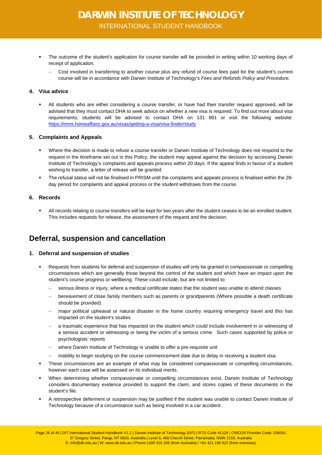- The outcome of the student's application for course transfer will be provided in writing within 10 working days of receipt of application.
	- − Cost involved in transferring to another course plus any refund of course fees paid for the student's current course will be in accordance with Darwin Institute of Technology's *Fees and Refunds Policy and Procedure.*

### <span id="page-25-0"></span>**4. Visa advice**

 All students who are either considering a course transfer, or have had their transfer request approved, will be advised that they must contact DHA to seek advice on whether a new visa is required. To find out more about visa requirements, students will be advised to contact DHA on 131 881 or visit the following website: <https://immi.homeaffairs.gov.au/visas/getting-a-visa/visa-finder/study>

### <span id="page-25-1"></span>**5. Complaints and Appeals**

- Where the decision is made to refuse a course transfer or Darwin Institute of Technology does not respond to the request in the timeframe set out in this Policy, the student may appeal against the decision by accessing Darwin Institute of Technology's complaints and appeals process within 20 days. If the appeal finds in favour of a student wishing to transfer, a letter of release will be granted.
- The refusal status will not be finalised in PRISM until the complaints and appeals process is finalised within the 28 day period for complaints and appeal process or the student withdraws from the course.

### <span id="page-25-2"></span>**6. Records**

 All records relating to course transfers will be kept for two years after the student ceases to be an enrolled student. This includes requests for release, the assessment of the request and the decision.

### <span id="page-25-3"></span>**Deferral, suspension and cancellation**

### <span id="page-25-4"></span>**1. Deferral and suspension of studies**

- Requests from students for deferral and suspension of studies will only be granted in compassionate or compelling circumstances which are generally those beyond the control of the student and which have an impact upon the student's course progress or wellbeing. These could include, but are not limited to:
	- serious illness or injury, where a medical certificate states that the student was unable to attend classes
	- bereavement of close family members such as parents or grandparents (Where possible a death certificate should be provided)
	- major political upheaval or natural disaster in the home country requiring emergency travel and this has impacted on the student's studies
	- a traumatic experience that has impacted on the student which could include involvement in or witnessing of a serious accident or witnessing or being the victim of a serious crime. Such cases supported by police or psychologists' reports
	- − where Darwin Institute of Technology is unable to offer a pre-requisite unit
	- inability to begin studying on the course commencement date due to delay in receiving a student visa
- These circumstances are an example of what may be considered compassionate or compelling circumstances, however each case will be assessed on its individual merits.
- When determining whether compassionate or compelling circumstances exist, Darwin Institute of Technology considers documentary evidence provided to support the claim, and stores copies of these documents in the student's file.
- A retrospective deferment or suspension may be justified if the student was unable to contact Darwin Institute of Technology because of a circumstance such as being involved in a car accident.

Page 26 of 46 | DIT International Student Handbook V1.2 | Darwin Institute of Technology (DIT) | RTO Code 41128 | CRICOS Provider Code: 03609J 37 Gregory Street, Parap, NT 0820, Australia | Level 6, 460 Church Street, Parramatta, NSW 2150, Australia E: info@dit.edu.au | W: www.dit.edu.au | Phone:1300 420 156 (from Australia) / +61 421 196 622 (from overseas)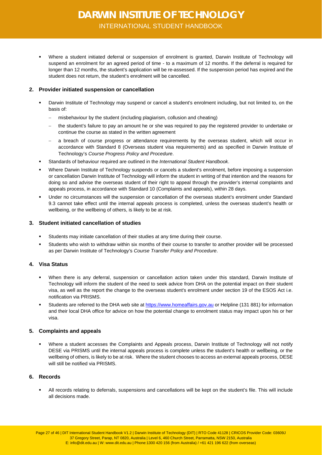Where a student initiated deferral or suspension of enrolment is granted, Darwin Institute of Technology will suspend an enrolment for an agreed period of time - to a maximum of 12 months. If the deferral is required for longer than 12 months, the student's application will be re-assessed. If the suspension period has expired and the student does not return, the student's enrolment will be cancelled.

### <span id="page-26-0"></span>**2. Provider initiated suspension or cancellation**

- Darwin Institute of Technology may suspend or cancel a student's enrolment including, but not limited to, on the basis of:
	- misbehaviour by the student (including plagiarism, collusion and cheating)
	- the student's failure to pay an amount he or she was required to pay the registered provider to undertake or continue the course as stated in the written agreement
	- a breach of course progress or attendance requirements by the overseas student, which will occur in accordance with Standard 8 (Overseas student visa requirements) and as specified in Darwin Institute of Technology's *Course Progress Policy and Procedure*.
- Standards of behaviour required are outlined in the *International Student Handbook*.
- Where Darwin Institute of Technology suspends or cancels a student's enrolment, before imposing a suspension or cancellation Darwin Institute of Technology will inform the student in writing of that intention and the reasons for doing so and advise the overseas student of their right to appeal through the provider's internal complaints and appeals process, in accordance with Standard 10 (Complaints and appeals), within 28 days.
- Under no circumstances will the suspension or cancellation of the overseas student's enrolment under Standard 9.3 cannot take effect until the internal appeals process is completed, unless the overseas student's health or wellbeing, or the wellbeing of others, is likely to be at risk.

### <span id="page-26-1"></span>**3. Student initiated cancellation of studies**

- Students may initiate cancellation of their studies at any time during their course.
- Students who wish to withdraw within six months of their course to transfer to another provider will be processed as per Darwin Institute of Technology's *Course Transfer Policy and Procedure*.

### <span id="page-26-2"></span>**4. Visa Status**

- When there is any deferral, suspension or cancellation action taken under this standard, Darwin Institute of Technology will inform the student of the need to seek advice from DHA on the potential impact on their student visa, as well as the report the change to the overseas student's enrolment under section 19 of the ESOS Act i.e. notification via PRISMS.
- Students are referred to the DHA web site at [https://www.homeaffairs.gov.au](https://www.homeaffairs.gov.au/) or Helpline (131 881) for information and their local DHA office for advice on how the potential change to enrolment status may impact upon his or her visa.

### <span id="page-26-3"></span>**5. Complaints and appeals**

 Where a student accesses the Complaints and Appeals process, Darwin Institute of Technology will not notify DESE via PRISMS until the internal appeals process is complete unless the student's health or wellbeing, or the wellbeing of others, is likely to be at risk. Where the student chooses to access an external appeals process, DESE will still be notified via PRISMS.

### <span id="page-26-4"></span>**6. Records**

 All records relating to deferrals, suspensions and cancellations will be kept on the student's file. This will include all decisions made.

Page 27 of 46 | DIT International Student Handbook V1.2 | Darwin Institute of Technology (DIT) | RTO Code 41128 | CRICOS Provider Code: 03609J 37 Gregory Street, Parap, NT 0820, Australia | Level 6, 460 Church Street, Parramatta, NSW 2150, Australia E: info@dit.edu.au | W: www.dit.edu.au | Phone:1300 420 156 (from Australia) / +61 421 196 622 (from overseas)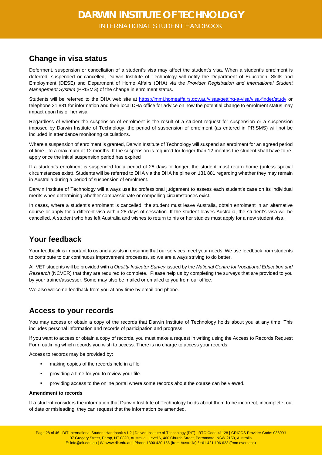### <span id="page-27-0"></span>**Change in visa status**

Deferment, suspension or cancellation of a student's visa may affect the student's visa. When a student's enrolment is deferred, suspended or cancelled, Darwin Institute of Technology will notify the Department of Education, Skills and Employment (DESE) and Department of Home Affairs (DHA) via the *Provider Registration and International Student Management System* (PRISMS) of the change in enrolment status.

Students will be referred to the DHA web site at<https://immi.homeaffairs.gov.au/visas/getting-a-visa/visa-finder/study> or telephone 31 881 for information and their local DHA office for advice on how the potential change to enrolment status may impact upon his or her visa.

Regardless of whether the suspension of enrolment is the result of a student request for suspension or a suspension imposed by Darwin Institute of Technology, the period of suspension of enrolment (as entered in PRISMS) will not be included in attendance monitoring calculations.

Where a suspension of enrolment is granted, Darwin Institute of Technology will suspend an enrolment for an agreed period of time - to a maximum of 12 months. If the suspension is required for longer than 12 months the student shall have to reapply once the initial suspension period has expired

If a student's enrolment is suspended for a period of 28 days or longer, the student must return home (unless special circumstances exist). Students will be referred to DHA via the DHA helpline on 131 881 regarding whether they may remain in Australia during a period of suspension of enrolment.

Darwin Institute of Technology will always use its professional judgement to assess each student's case on its individual merits when determining whether compassionate or compelling circumstances exist.

In cases, where a student's enrolment is cancelled, the student must leave Australia, obtain enrolment in an alternative course or apply for a different visa within 28 days of cessation. If the student leaves Australia, the student's visa will be cancelled. A student who has left Australia and wishes to return to his or her studies must apply for a new student visa.

### <span id="page-27-1"></span>**Your feedback**

Your feedback is important to us and assists in ensuring that our services meet your needs. We use feedback from students to contribute to our continuous improvement processes, so we are always striving to do better.

All VET students will be provided with a *Quality Indicator Survey* issued by the *National Centre for Vocational Education and Research* (NCVER) that they are required to complete. Please help us by completing the surveys that are provided to you by your trainer/assessor. Some may also be mailed or emailed to you from our office.

<span id="page-27-2"></span>We also welcome feedback from you at any time by email and phone.

### **Access to your records**

You may access or obtain a copy of the records that Darwin Institute of Technology holds about you at any time. This includes personal information and records of participation and progress.

If you want to access or obtain a copy of records, you must make a request in writing using the Access to Records Request Form outlining which records you wish to access. There is no charge to access your records.

Access to records may be provided by:

- making copies of the records held in a file
- **•** providing a time for you to review your file
- providing access to the online portal where some records about the course can be viewed.

#### **Amendment to records**

If a student considers the information that Darwin Institute of Technology holds about them to be incorrect, incomplete, out of date or misleading, they can request that the information be amended.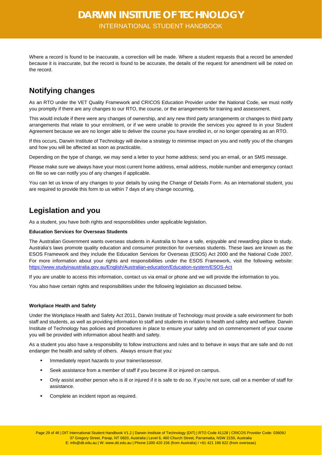Where a record is found to be inaccurate, a correction will be made. Where a student requests that a record be amended because it is inaccurate, but the record is found to be accurate, the details of the request for amendment will be noted on the record.

### <span id="page-28-0"></span>**Notifying changes**

As an RTO under the VET Quality Framework and CRICOS Education Provider under the National Code, we must notify you promptly if there are any changes to our RTO, the course, or the arrangements for training and assessment.

This would include if there were any changes of ownership, and any new third party arrangements or changes to third party arrangements that relate to your enrolment, or if we were unable to provide the services you agreed to in your Student Agreement because we are no longer able to deliver the course you have enrolled in, or no longer operating as an RTO.

If this occurs, Darwin Institute of Technology will devise a strategy to minimise impact on you and notify you of the changes and how you will be affected as soon as practicable.

Depending on the type of change, we may send a letter to your home address; send you an email, or an SMS message.

Please make sure we always have your most current home address, email address, mobile number and emergency contact on file so we can notify you of any changes if applicable.

You can let us know of any changes to your details by using the Change of Details Form. As an international student, you are required to provide this form to us within 7 days of any change occurring,

### <span id="page-28-1"></span>**Legislation and you**

As a student, you have both rights and responsibilities under applicable legislation.

### **Education Services for Overseas Students**

The Australian Government wants overseas students in Australia to have a safe, enjoyable and rewarding place to study. Australia's laws promote quality education and consumer protection for overseas students. These laws are known as the ESOS Framework and they include the Education Services for Overseas (ESOS) Act 2000 and the National Code 2007. For more information about your rights and responsibilities under the ESOS Framework, visit the following website: <https://www.studyinaustralia.gov.au/English/Australian-education/Education-system/ESOS-Act>

If you are unable to access this information, contact us via email or phone and we will provide the information to you.

You also have certain rights and responsibilities under the following legislation as discussed below.

### **Workplace Health and Safety**

Under the Workplace Health and Safety Act 2011, Darwin Institute of Technology must provide a safe environment for both staff and students, as well as providing information to staff and students in relation to health and safety and welfare. Darwin Institute of Technology has policies and procedures in place to ensure your safety and on commencement of your course you will be provided with information about health and safety.

As a student you also have a responsibility to follow instructions and rules and to behave in ways that are safe and do not endanger the health and safety of others. Always ensure that you:

- Immediately report hazards to your trainer/assessor.
- Seek assistance from a member of staff if you become ill or injured on campus.
- Only assist another person who is ill or injured if it is safe to do so. If you're not sure, call on a member of staff for assistance.
- Complete an incident report as required.

Page 29 of 46 | DIT International Student Handbook V1.2 | Darwin Institute of Technology (DIT) | RTO Code 41128 | CRICOS Provider Code: 03609J 37 Gregory Street, Parap, NT 0820, Australia | Level 6, 460 Church Street, Parramatta, NSW 2150, Australia E: info@dit.edu.au | W: www.dit.edu.au | Phone:1300 420 156 (from Australia) / +61 421 196 622 (from overseas)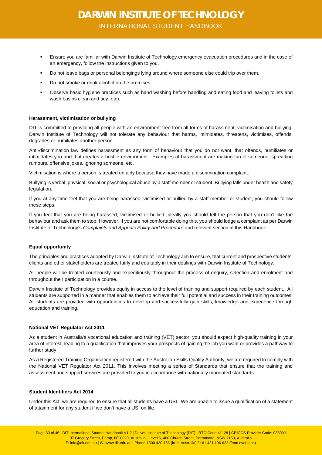- Ensure you are familiar with Darwin Institute of Technology emergency evacuation procedures and in the case of an emergency, follow the instructions given to you.
- Do not leave bags or personal belongings lying around where someone else could trip over them.
- Do not smoke or drink alcohol on the premises.
- Observe basic hygiene practices such as hand washing before handling and eating food and leaving toilets and wash basins clean and tidy, etc).

#### **Harassment, victimisation or bullying**

DIT is committed to providing all people with an environment free from all forms of harassment, victimisation and bullying. Darwin Institute of Technology will not tolerate any behaviour that harms, intimidates, threatens, victimises, offends, degrades or humiliates another person.

Anti-discrimination law defines harassment as any form of behaviour that you do not want, that offends, humiliates or intimidates you and that creates a hostile environment. Examples of harassment are making fun of someone, spreading rumours, offensive jokes, ignoring someone, etc.

Victimisation is where a person is treated unfairly because they have made a discrimination complaint.

Bullying is verbal, physical, social or psychological abuse by a staff member or student. Bullying falls under health and safety legislation.

If you at any time feel that you are being harassed, victimised or bullied by a staff member or student, you should follow these steps.

If you feel that you are being harassed, victimised or bullied, ideally you should tell the person that you don't like the behaviour and ask them to stop. However, if you are not comfortable doing this, you should lodge a complaint as per Darwin Institute of Technology's *Complaints and Appeals Policy and Procedure* and relevant section in this Handbook.

#### **Equal opportunity**

The principles and practices adopted by Darwin Institute of Technology aim to ensure, that current and prospective students, clients and other stakeholders are treated fairly and equitably in their dealings with Darwin Institute of Technology.

All people will be treated courteously and expeditiously throughout the process of enquiry, selection and enrolment and throughout their participation in a course.

Darwin Institute of Technology provides equity in access to the level of training and support required by each student. All students are supported in a manner that enables them to achieve their full potential and success in their training outcomes. All students are provided with opportunities to develop and successfully gain skills, knowledge and experience through education and training.

#### **National VET Regulator Act 2011**

As a student in Australia's vocational education and training (VET) sector, you should expect high-quality training in your area of interest, leading to a qualification that improves your prospects of gaining the job you want or provides a pathway to further study.

As a Registered Training Organisation registered with the Australian Skills Quality Authority, we are required to comply with the National VET Regulator Act 2011. This involves meeting a series of Standards that ensure that the training and assessment and support services are provided to you in accordance with nationally mandated standards.

#### **Student Identifiers Act 2014**

Under this Act, we are required to ensure that all students have a USI. We are unable to issue a qualification of a statement of attainment for any student if we don't have a USI on file.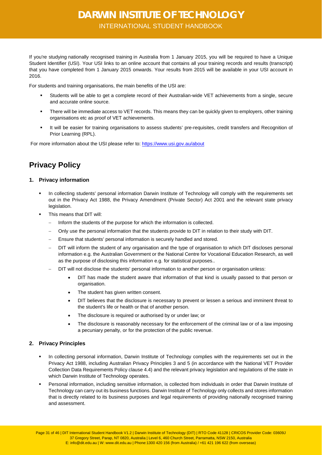If you're studying [nationally recognised training](http://usi.gov.au/Students/Pages/nationally-recognised-training.aspx) in Australia from 1 January 2015, you will be required to have a Unique Student Identifier (USI). Your USI links to an online account that contains all your [training records and results](http://usi.gov.au/Students/Pages/training-records-and-results.aspx) (transcript) that you have completed from 1 January 2015 onwards. Your results from 2015 will be available in your USI account in 2016.

For students and training organisations, the main benefits of the USI are:

- Students will be able to get a complete record of their Australian-wide VET achievements from a single, secure and accurate online source.
- There will be immediate access to VET records. This means they can be quickly given to employers, other training organisations etc as proof of VET achievements.
- It will be easier for training organisations to assess students' pre-requisites, credit transfers and Recognition of Prior Learning (RPL).

For more information about the USI please refer to[: https://www.usi.gov.au/about](https://www.usi.gov.au/about)

### <span id="page-30-0"></span>**Privacy Policy**

### <span id="page-30-1"></span>**1. Privacy information**

- In collecting students' personal information Darwin Institute of Technology will comply with the requirements set out in the Privacy Act 1988, the Privacy Amendment (Private Sector) Act 2001 and the relevant state privacy legislation.
- This means that DIT will:
	- Inform the students of the purpose for which the information is collected.
	- − Only use the personal information that the students provide to DIT in relation to their study with DIT.
	- Ensure that students' personal information is securely handled and stored.
	- − DIT will inform the student of any organisation and the type of organisation to which DIT discloses personal information e.g. the Australian Government or the National Centre for Vocational Education Research, as well as the purpose of disclosing this information e.g. for statistical purposes..
	- DIT will not disclose the students' personal information to another person or organisation unless:
		- DIT has made the student aware that information of that kind is usually passed to that person or organisation.
		- The student has given written consent.
		- DIT believes that the disclosure is necessary to prevent or lessen a serious and imminent threat to the student's life or health or that of another person.
		- The disclosure is required or authorised by or under law; or
		- The disclosure is reasonably necessary for the enforcement of the criminal law or of a law imposing a pecuniary penalty, or for the protection of the public revenue.

### <span id="page-30-2"></span>**2. Privacy Principles**

- In collecting personal information, Darwin Institute of Technology complies with the requirements set out in the Privacy Act 1988, including Australian Privacy Principles 3 and 5 (in accordance with the National VET Provider Collection Data Requirements Policy clause 4.4) and the relevant privacy legislation and regulations of the state in which Darwin Institute of Technology operates.
- Personal information, including sensitive information, is collected from individuals in order that Darwin Institute of Technology can carry out its business functions. Darwin Institute of Technology only collects and stores information that is directly related to its business purposes and legal requirements of providing nationally recognised training and assessment.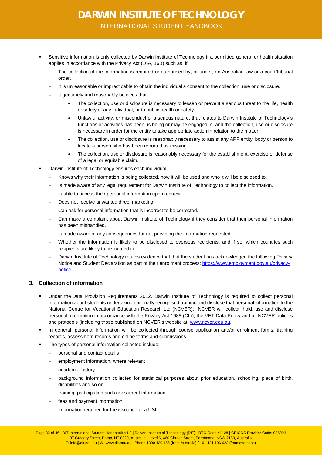- Sensitive information is only collected by Darwin Institute of Technology if a permitted general or health situation applies in accordance with the Privacy Act (16A, 16B) such as, if:
	- The collection of the information is required or authorised by, or under, an Australian law or a court/tribunal order.
	- − It is unreasonable or impracticable to obtain the individual's consent to the collection, use or disclosure.
	- It genuinely and reasonably believes that:
		- The collection, use or disclosure is necessary to lessen or prevent a serious threat to the life, health or safety of any individual, or to public health or safety.
		- Unlawful activity, or misconduct of a serious nature, that relates to Darwin Institute of Technology's functions or activities has been, is being or may be engaged in, and the collection, use or disclosure is necessary in order for the entity to take appropriate action in relation to the matter.
		- The collection, use or disclosure is reasonably necessary to assist any APP entity, body or person to locate a person who has been reported as missing.
		- The collection, use or disclosure is reasonably necessary for the establishment, exercise or defense of a legal or equitable claim.
- Darwin Institute of Technology ensures each individual:
	- Knows why their information is being collected, how it will be used and who it will be disclosed to.
	- Is made aware of any legal requirement for Darwin Institute of Technology to collect the information.
	- Is able to access their personal information upon request.
	- Does not receive unwanted direct marketing.
	- Can ask for personal information that is incorrect to be corrected.
	- − Can make a complaint about Darwin Institute of Technology if they consider that their personal information has been mishandled.
	- Is made aware of any consequences for not providing the information requested.
	- Whether the information is likely to be disclosed to overseas recipients, and if so, which countries such recipients are likely to be located in.
	- Darwin Institute of Technology retains evidence that that the student has acknowledged the following Privacy Notice and Student Declaration as part of their enrolment process: [https://www.employment.gov.au/privacy](https://www.employment.gov.au/privacy-notice)[notice](https://www.employment.gov.au/privacy-notice)

### <span id="page-31-0"></span>**3. Collection of information**

- Under the Data Provision Requirements 2012, Darwin Institute of Technology is required to collect personal information about students undertaking nationally recognised training and disclose that personal information to the National Centre for Vocational Education Research Ltd (NCVER). NCVER will collect, hold, use and disclose personal information in accordance with the Privacy Act 1988 (Cth), the VET Data Policy and all NCVER policies and protocols (including those published on NCVER's website at[: www.ncver.edu.au.](http://www.ncver.edu.au/)
- In general, personal information will be collected through course application and/or enrolment forms, training records, assessment records and online forms and submissions.
- The types of personal information collected include:
	- − personal and contact details
	- employment information, where relevant
	- − academic history
	- − background information collected for statistical purposes about prior education, schooling, place of birth, disabilities and so on
	- training, participation and assessment information
	- fees and payment information
	- information required for the issuance of a USI

Page 32 of 46 | DIT International Student Handbook V1.2 | Darwin Institute of Technology (DIT) | RTO Code 41128 | CRICOS Provider Code: 03609J 37 Gregory Street, Parap, NT 0820, Australia | Level 6, 460 Church Street, Parramatta, NSW 2150, Australia E: info@dit.edu.au | W: www.dit.edu.au | Phone:1300 420 156 (from Australia) / +61 421 196 622 (from overseas)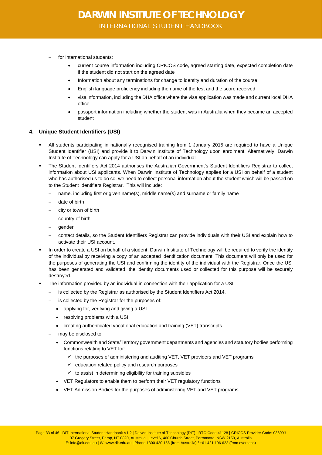- for international students:
	- current course information including CRICOS code, agreed starting date, expected completion date if the student did not start on the agreed date
	- Information about any terminations for change to identity and duration of the course
	- English language proficiency including the name of the test and the score received
	- visa information, including the DHA office where the visa application was made and current local DHA office
	- passport information including whether the student was in Australia when they became an accepted student

### <span id="page-32-0"></span>**4. Unique Student Identifiers (USI)**

- All students participating in nationally recognised training from 1 January 2015 are required to have a Unique Student Identifier (USI) and provide it to Darwin Institute of Technology upon enrolment. Alternatively, Darwin Institute of Technology can apply for a USI on behalf of an individual.
- The Student Identifiers Act 2014 authorises the Australian Government's Student Identifiers Registrar to collect information about USI applicants. When Darwin Institute of Technology applies for a USI on behalf of a student who has authorised us to do so, we need to collect personal information about the student which will be passed on to the Student Identifiers Registrar. This will include:
	- name, including first or given name(s), middle name(s) and surname or family name
	- − date of birth
	- city or town of birth
	- country of birth
	- − gender
	- − contact details, so the Student Identifiers Registrar can provide individuals with their USI and explain how to activate their USI account.
- In order to create a USI on behalf of a student, Darwin Institute of Technology will be required to verify the identity of the individual by receiving a copy of an accepted identification document. This document will only be used for the purposes of generating the USI and confirming the identity of the individual with the Registrar. Once the USI has been generated and validated, the identity documents used or collected for this purpose will be securely destroyed.
- The information provided by an individual in connection with their application for a USI:
	- is collected by the Registrar as authorised by the Student Identifiers Act 2014.
	- is collected by the Registrar for the purposes of:
		- applying for, verifying and giving a USI
		- resolving problems with a USI
		- creating authenticated vocational education and training (VET) transcripts
	- may be disclosed to:
		- Commonwealth and State/Territory government departments and agencies and statutory bodies performing functions relating to VET for:
			- $\checkmark$  the purposes of administering and auditing VET, VET providers and VET programs
			- $\checkmark$  education related policy and research purposes
			- $\checkmark$  to assist in determining eligibility for training subsidies
		- VET Regulators to enable them to perform their VET regulatory functions
		- VET Admission Bodies for the purposes of administering VET and VET programs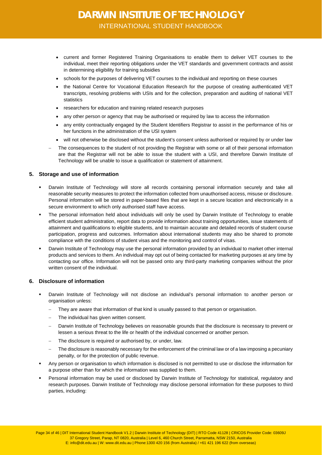- current and former Registered Training Organisations to enable them to deliver VET courses to the individual, meet their reporting obligations under the VET standards and government contracts and assist in determining eligibility for training subsidies
- schools for the purposes of delivering VET courses to the individual and reporting on these courses
- the National Centre for Vocational Education Research for the purpose of creating authenticated VET transcripts, resolving problems with USIs and for the collection, preparation and auditing of national VET statistics
- researchers for education and training related research purposes
- any other person or agency that may be authorised or required by law to access the information
- any entity contractually engaged by the Student Identifiers Registrar to assist in the performance of his or her functions in the administration of the USI system
- will not otherwise be disclosed without the student's consent unless authorised or required by or under law
- The consequences to the student of not providing the Registrar with some or all of their personal information are that the Registrar will not be able to issue the student with a USI, and therefore Darwin Institute of Technology will be unable to issue a qualification or statement of attainment.

#### <span id="page-33-0"></span>**5. Storage and use of information**

- Darwin Institute of Technology will store all records containing personal information securely and take all reasonable security measures to protect the information collected from unauthorised access, misuse or disclosure. Personal information will be stored in paper-based files that are kept in a secure location and electronically in a secure environment to which only authorised staff have access.
- The personal information held about individuals will only be used by Darwin Institute of Technology to enable efficient student administration, report data to provide information about training opportunities, issue statements of attainment and qualifications to eligible students, and to maintain accurate and detailed records of student course participation, progress and outcomes. Information about international students may also be shared to promote compliance with the conditions of student visas and the monitoring and control of visas.
- Darwin Institute of Technology may use the personal information provided by an individual to market other internal products and services to them. An individual may opt out of being contacted for marketing purposes at any time by contacting our office. Information will not be passed onto any third-party marketing companies without the prior written consent of the individual.

### <span id="page-33-1"></span>**6. Disclosure of information**

- Darwin Institute of Technology will not disclose an individual's personal information to another person or organisation unless:
	- They are aware that information of that kind is usually passed to that person or organisation.
	- The individual has given written consent.
	- Darwin Institute of Technology believes on reasonable grounds that the disclosure is necessary to prevent or lessen a serious threat to the life or health of the individual concerned or another person.
	- The disclosure is required or authorised by, or under, law.
	- The disclosure is reasonably necessary for the enforcement of the criminal law or of a law imposing a pecuniary penalty, or for the protection of public revenue.
- Any person or organisation to which information is disclosed is not permitted to use or disclose the information for a purpose other than for which the information was supplied to them.
- Personal information may be used or disclosed by Darwin Institute of Technology for statistical, regulatory and research purposes. Darwin Institute of Technology may disclose personal information for these purposes to third parties, including:

Page 34 of 46 | DIT International Student Handbook V1.2 | Darwin Institute of Technology (DIT) | RTO Code 41128 | CRICOS Provider Code: 03609J 37 Gregory Street, Parap, NT 0820, Australia | Level 6, 460 Church Street, Parramatta, NSW 2150, Australia E: info@dit.edu.au | W: www.dit.edu.au | Phone:1300 420 156 (from Australia) / +61 421 196 622 (from overseas)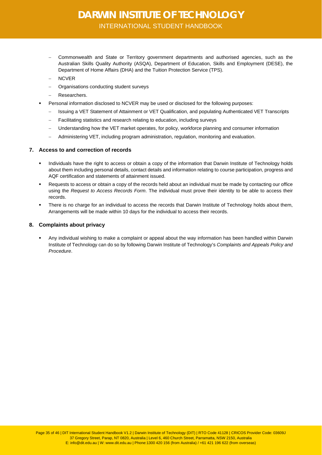- − Commonwealth and State or Territory government departments and authorised agencies, such as the Australian Skills Quality Authority (ASQA), Department of Education, Skills and Employment (DESE), the Department of Home Affairs (DHA) and the Tuition Protection Service (TPS).
- − NCVER
- − Organisations conducting student surveys
- − Researchers.
- Personal information disclosed to NCVER may be used or disclosed for the following purposes:
	- − Issuing a VET Statement of Attainment or VET Qualification, and populating Authenticated VET Transcripts
	- − Facilitating statistics and research relating to education, including surveys
	- − Understanding how the VET market operates, for policy, workforce planning and consumer information
	- − Administering VET, including program administration, regulation, monitoring and evaluation.

### <span id="page-34-0"></span>**7. Access to and correction of records**

- Individuals have the right to access or obtain a copy of the information that Darwin Institute of Technology holds about them including personal details, contact details and information relating to course participation, progress and AQF certification and statements of attainment issued.
- Requests to access or obtain a copy of the records held about an individual must be made by contacting our office using the *Request to Access Records Form*. The individual must prove their identity to be able to access their records.
- There is no charge for an individual to access the records that Darwin Institute of Technology holds about them, Arrangements will be made within 10 days for the individual to access their records.

### <span id="page-34-1"></span>**8. Complaints about privacy**

 Any individual wishing to make a complaint or appeal about the way information has been handled within Darwin Institute of Technology can do so by following Darwin Institute of Technology's *Complaints and Appeals Policy and Procedure*.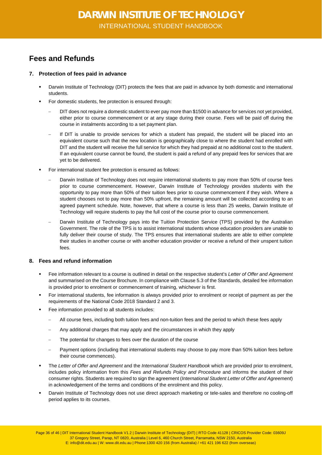### <span id="page-35-0"></span>**Fees and Refunds**

### <span id="page-35-1"></span>**7. Protection of fees paid in advance**

- Darwin Institute of Technology (DIT) protects the fees that are paid in advance by both domestic and international students.
- For domestic students, fee protection is ensured through:
	- − DIT does not require a domestic student to ever pay more than \$1500 in advance for services not yet provided, either prior to course commencement or at any stage during their course. Fees will be paid off during the course in instalments according to a set payment plan.
	- − If DIT is unable to provide services for which a student has prepaid, the student will be placed into an equivalent course such that the new location is geographically close to where the student had enrolled with DIT and the student will receive the full service for which they had prepaid at no additional cost to the student. If an equivalent course cannot be found, the student is paid a refund of any prepaid fees for services that are yet to be delivered.
- For international student fee protection is ensured as follows:
	- Darwin Institute of Technology does not require international students to pay more than 50% of course fees prior to course commencement. However, Darwin Institute of Technology provides students with the opportunity to pay more than 50% of their tuition fees prior to course commencement if they wish. Where a student chooses not to pay more than 50% upfront, the remaining amount will be collected according to an agreed payment schedule. Note, however, that where a course is less than 25 weeks, Darwin Institute of Technology will require students to pay the full cost of the course prior to course commencement.
	- Darwin Institute of Technology pays into the Tuition Protection Service (TPS) provided by the Australian Government. The role of the TPS is to assist international students whose education providers are unable to fully deliver their course of study. The TPS ensures that international students are able to either complete their studies in another course or with another education provider or receive a refund of their unspent tuition fees.

### <span id="page-35-2"></span>**8. Fees and refund information**

- Fee information relevant to a course is outlined in detail on the respective student's *Letter of Offer and Agreement* and summarised on the Course Brochure. In compliance with Clause 5.3 of the Standards, detailed fee information is provided prior to enrolment or commencement of training, whichever is first.
- For international students, fee information is always provided prior to enrolment or receipt of payment as per the requirements of the National Code 2018 Standard 2 and 3.
- Fee information provided to all students includes:
	- − All course fees, including both tuition fees and non-tuition fees and the period to which these fees apply
	- Any additional charges that may apply and the circumstances in which they apply
	- The potential for changes to fees over the duration of the course
	- Payment options (including that international students may choose to pay more than 50% tuition fees before their course commences).
- The *Letter of Offer and Agreement* and the *International Student Handbook* which are provided prior to enrolment, includes policy information from this *Fees and Refunds Policy and Procedure* and informs the student of their consumer rights. Students are required to sign the agreement (*International Student Letter of Offer and Agreement*) in acknowledgement of the terms and conditions of the enrolment and this policy.
- Darwin Institute of Technology does not use direct approach marketing or tele-sales and therefore no cooling-off period applies to its courses.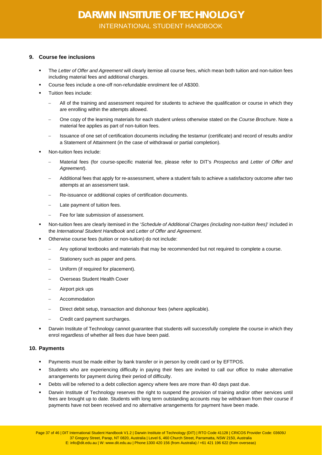### <span id="page-36-0"></span>**9. Course fee inclusions**

- The *Letter of Offer and Agreement* will clearly itemise all course fees, which mean both tuition and non-tuition fees including material fees and additional charges.
- Course fees include a one-off non-refundable enrolment fee of A\$300.
- Tuition fees include:
	- − All of the training and assessment required for students to achieve the qualification or course in which they are enrolling within the attempts allowed.
	- − One copy of the learning materials for each student unless otherwise stated on the *Course Brochure*. Note a material fee applies as part of non-tuition fees.
	- − Issuance of one set of certification documents including the testamur (certificate) and record of results and/or a Statement of Attainment (in the case of withdrawal or partial completion).
- Non-tuition fees include:
	- − Material fees (for course-specific material fee, please refer to DIT's *Prospectus* and *Letter of Offer and Agreement*).
	- − Additional fees that apply for re-assessment, where a student fails to achieve a satisfactory outcome after two attempts at an assessment task.
	- Re-issuance or additional copies of certification documents.
	- Late payment of tuition fees.
	- Fee for late submission of assessment.
- Non-tuition fees are clearly itemised in the '*Schedule of Additional Charges (including non-tuition fees)*' included in the *International Student Handbook* and *Letter of Offer and Agreement*.
- Otherwise course fees (tuition or non-tuition) do not include:
	- − Any optional textbooks and materials that may be recommended but not required to complete a course.
	- Stationery such as paper and pens.
	- Uniform (if required for placement).
	- − Overseas Student Health Cover
	- − Airport pick ups
	- − Accommodation
	- − Direct debit setup, transaction and dishonour fees (where applicable).
	- − Credit card payment surcharges.
- Darwin Institute of Technology cannot guarantee that students will successfully complete the course in which they enrol regardless of whether all fees due have been paid.

### <span id="page-36-1"></span>**10. Payments**

- Payments must be made either by bank transfer or in person by credit card or by EFTPOS.
- Students who are experiencing difficulty in paying their fees are invited to call our office to make alternative arrangements for payment during their period of difficulty.
- Debts will be referred to a debt collection agency where fees are more than 40 days past due.
- Darwin Institute of Technology reserves the right to suspend the provision of training and/or other services until fees are brought up to date. Students with long term outstanding accounts may be withdrawn from their course if payments have not been received and no alternative arrangements for payment have been made.

Page 37 of 46 | DIT International Student Handbook V1.2 | Darwin Institute of Technology (DIT) | RTO Code 41128 | CRICOS Provider Code: 03609J 37 Gregory Street, Parap, NT 0820, Australia | Level 6, 460 Church Street, Parramatta, NSW 2150, Australia E: info@dit.edu.au | W: www.dit.edu.au | Phone:1300 420 156 (from Australia) / +61 421 196 622 (from overseas)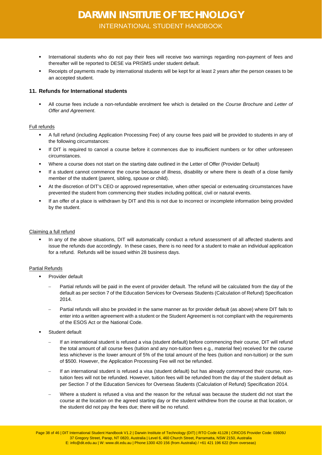- International students who do not pay their fees will receive two warnings regarding non-payment of fees and thereafter will be reported to DESE via PRISMS under student default.
- Receipts of payments made by international students will be kept for at least 2 years after the person ceases to be an accepted student.

### <span id="page-37-0"></span>**11. Refunds for International students**

 All course fees include a non-refundable enrolment fee which is detailed on the *Course Brochure* and *Letter of Offer and Agreement*.

### Full refunds

- A full refund (including Application Processing Fee) of any course fees paid will be provided to students in any of the following circumstances:
- If DIT is required to cancel a course before it commences due to insufficient numbers or for other unforeseen circumstances.
- Where a course does not start on the starting date outlined in the Letter of Offer (Provider Default)
- If a student cannot commence the course because of illness, disability or where there is death of a close family member of the student (parent, sibling, spouse or child).
- At the discretion of DIT's CEO or approved representative, when other special or extenuating circumstances have prevented the student from commencing their studies including political, civil or natural events.
- If an offer of a place is withdrawn by DIT and this is not due to incorrect or incomplete information being provided by the student.

#### Claiming a full refund

 In any of the above situations, DIT will automatically conduct a refund assessment of all affected students and issue the refunds due accordingly. In these cases, there is no need for a student to make an individual application for a refund. Refunds will be issued within 28 business days.

### Partial Refunds

- Provider default
	- Partial refunds will be paid in the event of provider default. The refund will be calculated from the day of the default as per section 7 of the Education Services for Overseas Students (Calculation of Refund) Specification 2014.
	- − Partial refunds will also be provided in the same manner as for provider default (as above) where DIT fails to enter into a written agreement with a student or the Student Agreement is not compliant with the requirements of the ESOS Act or the National Code.
- Student default
	- If an international student is refused a visa (student default) before commencing their course, DIT will refund the total amount of all course fees (tuition and any non-tuition fees e.g., material fee) received for the course less whichever is the lower amount of 5% of the total amount of the fees (tuition and non-tuition) or the sum of \$500. However, the Application Processing Fee will not be refunded.
	- − If an international student is refused a visa (student default) but has already commenced their course, nontuition fees will not be refunded. However, tuition fees will be refunded from the day of the student default as per Section 7 of the Education Services for Overseas Students (Calculation of Refund) Specification 2014.
	- Where a student is refused a visa and the reason for the refusal was because the student did not start the course at the location on the agreed starting day or the student withdrew from the course at that location, or the student did not pay the fees due; there will be no refund.

Page 38 of 46 | DIT International Student Handbook V1.2 | Darwin Institute of Technology (DIT) | RTO Code 41128 | CRICOS Provider Code: 03609J 37 Gregory Street, Parap, NT 0820, Australia | Level 6, 460 Church Street, Parramatta, NSW 2150, Australia E: info@dit.edu.au | W: www.dit.edu.au | Phone:1300 420 156 (from Australia) / +61 421 196 622 (from overseas)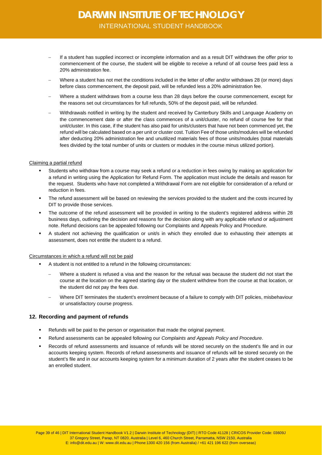- − If a student has supplied incorrect or incomplete information and as a result DIT withdraws the offer prior to commencement of the course, the student will be eligible to receive a refund of all course fees paid less a 20% administration fee.
- − Where a student has not met the conditions included in the letter of offer and/or withdraws 28 (or more) days before class commencement, the deposit paid, will be refunded less a 20% administration fee.
- Where a student withdraws from a course less than 28 days before the course commencement, except for the reasons set out circumstances for full refunds, 50% of the deposit paid, will be refunded.
- − Withdrawals notified in writing by the student and received by Canterbury Skills and Language Academy on the commencement date or after the class commences of a unit/cluster, no refund of course fee for that unit/cluster. In this case, if the student has also paid for units/clusters that have not been commenced yet, the refund will be calculated based on a per unit or cluster cost. Tuition Fee of those units/modules will be refunded after deducting 20% administration fee and unutilized materials fees of those units/modules (total materials fees divided by the total number of units or clusters or modules in the course minus utilized portion).

#### Claiming a partial refund

- Students who withdraw from a course may seek a refund or a reduction in fees owing by making an application for a refund in writing using the Application for Refund Form. The application must include the details and reason for the request. Students who have not completed a Withdrawal Form are not eligible for consideration of a refund or reduction in fees.
- The refund assessment will be based on reviewing the services provided to the student and the costs incurred by DIT to provide those services.
- The outcome of the refund assessment will be provided in writing to the student's registered address within 28 business days, outlining the decision and reasons for the decision along with any applicable refund or adjustment note. Refund decisions can be appealed following our Complaints and Appeals Policy and Procedure.
- A student not achieving the qualification or unit/s in which they enrolled due to exhausting their attempts at assessment, does not entitle the student to a refund.

#### Circumstances in which a refund will not be paid

- A student is not entitled to a refund in the following circumstances:
	- Where a student is refused a visa and the reason for the refusal was because the student did not start the course at the location on the agreed starting day or the student withdrew from the course at that location, or the student did not pay the fees due.
	- Where DIT terminates the student's enrolment because of a failure to comply with DIT policies, misbehaviour or unsatisfactory course progress.

### <span id="page-38-0"></span>**12. Recording and payment of refunds**

- Refunds will be paid to the person or organisation that made the original payment.
- Refund assessments can be appealed following our *Complaints and Appeals Policy and Procedure*.
- Records of refund assessments and issuance of refunds will be stored securely on the student's file and in our accounts keeping system. Records of refund assessments and issuance of refunds will be stored securely on the student's file and in our accounts keeping system for a minimum duration of 2 years after the student ceases to be an enrolled student.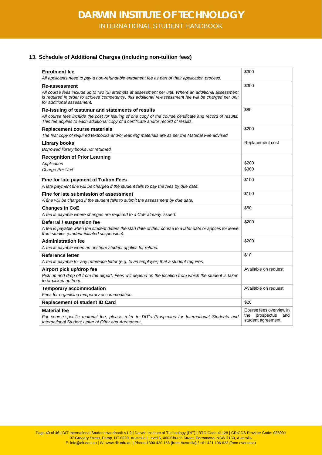### <span id="page-39-0"></span>**13. Schedule of Additional Charges (including non-tuition fees)**

| <b>Enrolment fee</b>                                                                                                                                                                                                                                           | \$300                                         |
|----------------------------------------------------------------------------------------------------------------------------------------------------------------------------------------------------------------------------------------------------------------|-----------------------------------------------|
| All applicants need to pay a non-refundable enrolment fee as part of their application process.                                                                                                                                                                |                                               |
| Re-assessment<br>All course fees include up to two (2) attempts at assessment per unit. Where an additional assessment<br>is required in order to achieve competency, this additional re-assessment fee will be charged per unit<br>for additional assessment. | \$300                                         |
| Re-issuing of testamur and statements of results                                                                                                                                                                                                               | \$80                                          |
| All course fees include the cost for issuing of one copy of the course certificate and record of results.<br>This fee applies to each additional copy of a certificate and/or record of results.                                                               |                                               |
| Replacement course materials                                                                                                                                                                                                                                   | \$200                                         |
| The first copy of required textbooks and/or learning materials are as per the Material Fee advised.                                                                                                                                                            |                                               |
| <b>Library books</b><br>Borrowed library books not returned.                                                                                                                                                                                                   | Replacement cost                              |
| <b>Recognition of Prior Learning</b>                                                                                                                                                                                                                           |                                               |
| Application                                                                                                                                                                                                                                                    | \$200                                         |
| Charge Per Unit                                                                                                                                                                                                                                                | \$300                                         |
| Fine for late payment of Tuition Fees<br>A late payment fine will be charged if the student fails to pay the fees by due date.                                                                                                                                 | \$100                                         |
| Fine for late submission of assessment                                                                                                                                                                                                                         | \$100                                         |
| A fine will be charged if the student fails to submit the assessment by due date.                                                                                                                                                                              |                                               |
| <b>Changes in CoE</b>                                                                                                                                                                                                                                          | \$50                                          |
| A fee is payable where changes are required to a CoE already issued.                                                                                                                                                                                           |                                               |
| Deferral / suspension fee                                                                                                                                                                                                                                      | \$200                                         |
| A fee is payable when the student defers the start date of their course to a later date or applies for leave<br>from studies (student-initiated suspension).                                                                                                   |                                               |
| <b>Administration fee</b>                                                                                                                                                                                                                                      | \$200                                         |
| A fee is payable when an onshore student applies for refund.                                                                                                                                                                                                   |                                               |
| Reference letter                                                                                                                                                                                                                                               | \$10                                          |
| A fee is payable for any reference letter (e.g. to an employer) that a student requires.                                                                                                                                                                       |                                               |
| Airport pick up/drop fee                                                                                                                                                                                                                                       | Available on request                          |
| Pick up and drop off from the airport. Fees will depend on the location from which the student is taken<br>to or picked up from.                                                                                                                               |                                               |
| <b>Temporary accommodation</b>                                                                                                                                                                                                                                 | Available on request                          |
| Fees for organising temporary accommodation.                                                                                                                                                                                                                   |                                               |
| <b>Replacement of student ID Card</b>                                                                                                                                                                                                                          | \$20                                          |
| <b>Material fee</b>                                                                                                                                                                                                                                            | Course fees overview in                       |
| For course-specific material fee, please refer to DIT's Prospectus for International Students and<br>International Student Letter of Offer and Agreement.                                                                                                      | the<br>prospectus<br>and<br>student agreement |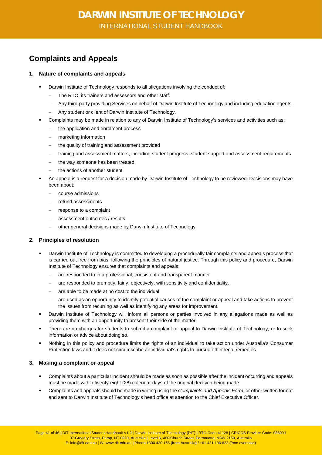### <span id="page-40-0"></span>**Complaints and Appeals**

### <span id="page-40-1"></span>**1. Nature of complaints and appeals**

- Darwin Institute of Technology responds to all allegations involving the conduct of:
	- − The RTO, its trainers and assessors and other staff.
	- − Any third-party providing Services on behalf of Darwin Institute of Technology and including education agents.
	- Any student or client of Darwin Institute of Technology.
- Complaints may be made in relation to any of Darwin Institute of Technology's services and activities such as:
	- − the application and enrolment process
	- − marketing information
	- the quality of training and assessment provided
	- − training and assessment matters, including student progress, student support and assessment requirements
	- − the way someone has been treated
	- the actions of another student
- An appeal is a request for a decision made by Darwin Institute of Technology to be reviewed. Decisions may have been about:
	- − course admissions
	- − refund assessments
	- − response to a complaint
	- assessment outcomes / results
	- − other general decisions made by Darwin Institute of Technology

### <span id="page-40-2"></span>**2. Principles of resolution**

- Darwin Institute of Technology is committed to developing a procedurally fair complaints and appeals process that is carried out free from bias, following the principles of natural justice. Through this policy and procedure, Darwin Institute of Technology ensures that complaints and appeals:
	- − are responded to in a professional, consistent and transparent manner.
	- − are responded to promptly, fairly, objectively, with sensitivity and confidentiality.
	- are able to be made at no cost to the individual.
	- − are used as an opportunity to identify potential causes of the complaint or appeal and take actions to prevent the issues from recurring as well as identifying any areas for improvement.
- Darwin Institute of Technology will inform all persons or parties involved in any allegations made as well as providing them with an opportunity to present their side of the matter.
- There are no charges for students to submit a complaint or appeal to Darwin Institute of Technology, or to seek information or advice about doing so.
- Nothing in this policy and procedure limits the rights of an individual to take action under Australia's Consumer Protection laws and it does not circumscribe an individual's rights to pursue other legal remedies.

### <span id="page-40-3"></span>**3. Making a complaint or appeal**

- Complaints about a particular incident should be made as soon as possible after the incident occurring and appeals must be made within twenty-eight (28) calendar days of the original decision being made.
- Complaints and appeals should be made in writing using the *Complaints and Appeals Form*, or other written format and sent to Darwin Institute of Technology's head office at attention to the Chief Executive Officer.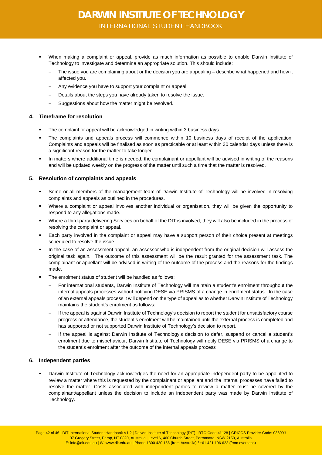- When making a complaint or appeal, provide as much information as possible to enable Darwin Institute of Technology to investigate and determine an appropriate solution. This should include:
	- The issue you are complaining about or the decision you are appealing describe what happened and how it affected you.
	- Any evidence you have to support your complaint or appeal.
	- − Details about the steps you have already taken to resolve the issue.
	- Suggestions about how the matter might be resolved.

### <span id="page-41-0"></span>**4. Timeframe for resolution**

- The complaint or appeal will be acknowledged in writing within 3 business days.
- The complaints and appeals process will commence within 10 business days of receipt of the application. Complaints and appeals will be finalised as soon as practicable or at least within 30 calendar days unless there is a significant reason for the matter to take longer.
- In matters where additional time is needed, the complainant or appellant will be advised in writing of the reasons and will be updated weekly on the progress of the matter until such a time that the matter is resolved.

### <span id="page-41-1"></span>**5. Resolution of complaints and appeals**

- Some or all members of the management team of Darwin Institute of Technology will be involved in resolving complaints and appeals as outlined in the procedures.
- Where a complaint or appeal involves another individual or organisation, they will be given the opportunity to respond to any allegations made.
- Where a third-party delivering Services on behalf of the DIT is involved, they will also be included in the process of resolving the complaint or appeal.
- Each party involved in the complaint or appeal may have a support person of their choice present at meetings scheduled to resolve the issue.
- In the case of an assessment appeal, an assessor who is independent from the original decision will assess the original task again. The outcome of this assessment will be the result granted for the assessment task. The complainant or appellant will be advised in writing of the outcome of the process and the reasons for the findings made.
- The enrolment status of student will be handled as follows:
	- − For international students, Darwin Institute of Technology will maintain a student's enrolment throughout the internal appeals processes without notifying DESE via PRISMS of a change in enrolment status. In the case of an external appeals process it will depend on the type of appeal as to whether Darwin Institute of Technology maintains the student's enrolment as follows:
	- − If the appeal is against Darwin Institute of Technology's decision to report the student for unsatisfactory course progress or attendance, the student's enrolment will be maintained until the external process is completed and has supported or not supported Darwin Institute of Technology's decision to report.
	- − If the appeal is against Darwin Institute of Technology's decision to defer, suspend or cancel a student's enrolment due to misbehaviour, Darwin Institute of Technology will notify DESE via PRISMS of a change to the student's enrolment after the outcome of the internal appeals process

### <span id="page-41-2"></span>**6. Independent parties**

 Darwin Institute of Technology acknowledges the need for an appropriate independent party to be appointed to review a matter where this is requested by the complainant or appellant and the internal processes have failed to resolve the matter. Costs associated with independent parties to review a matter must be covered by the complainant/appellant unless the decision to include an independent party was made by Darwin Institute of Technology.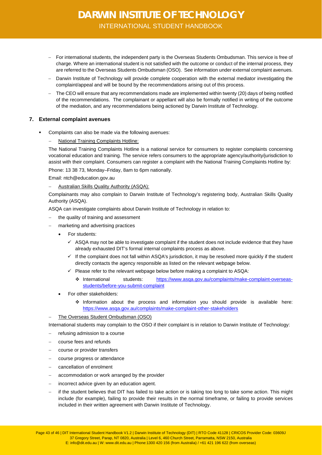- − For international students, the independent party is the Overseas Students Ombudsman. This service is free of charge. Where an international student is not satisfied with the outcome or conduct of the internal process, they are referred to the Overseas Students Ombudsman (OSO). See information under external complaint avenues.
- − Darwin Institute of Technology will provide complete cooperation with the external mediator investigating the complaint/appeal and will be bound by the recommendations arising out of this process.
- − The CEO will ensure that any recommendations made are implemented within twenty (20) days of being notified of the recommendations. The complainant or appellant will also be formally notified in writing of the outcome of the mediation, and any recommendations being actioned by Darwin Institute of Technology.

### <span id="page-42-0"></span>**7. External complaint avenues**

Complaints can also be made via the following avenues:

### − National Training Complaints Hotline:

The National Training Complaints Hotline is a national service for consumers to register complaints concerning vocational education and training. The service refers consumers to the appropriate agency/authority/jurisdiction to assist with their complaint. Consumers can register a complaint with the National Training Complaints Hotline by:

Phone: 13 38 73, Monday–Friday, 8am to 6pm nationally.

Email: ntch@education.gov.au

− Australian Skills Quality Authority (ASQA):

Complainants may also complain to Darwin Institute of Technology's registering body, Australian Skills Quality Authority (ASQA).

ASQA can investigate complaints about Darwin Institute of Technology in relation to:

- the quality of training and assessment
	- marketing and advertising practices
	- For students:
		- $\checkmark$  ASQA may not be able to investigate complaint if the student does not include evidence that they have already exhausted DIT's formal internal complaints process as above.
		- $\checkmark$  If the complaint does not fall within ASQA's jurisdiction, it may be resolved more quickly if the student directly contacts the agency responsible as listed on the relevant webpage below.
		- $\checkmark$  Please refer to the relevant webpage below before making a complaint to ASQA:
			- International students: [https://www.asqa.gov.au/complaints/make-complaint-overseas](https://www.asqa.gov.au/complaints/make-complaint-overseas-students/before-you-submit-complaint)[students/before-you-submit-complaint](https://www.asqa.gov.au/complaints/make-complaint-overseas-students/before-you-submit-complaint)
	- For other stakeholders:
		- Information about the process and information you should provide is available here: <https://www.asqa.gov.au/complaints/make-complaint-other-stakeholders>
- The Overseas Student Ombudsman (OSO)

International students may complain to the OSO if their complaint is in relation to Darwin Institute of Technology:

- refusing admission to a course
- − course fees and refunds
- course or provider transfers
- course progress or attendance
- cancellation of enrolment
- accommodation or work arranged by the provider
- incorrect advice given by an education agent.
- if the student believes that DIT has failed to take action or is taking too long to take some action. This might include (for example), failing to provide their results in the normal timeframe, or failing to provide services included in their written agreement with Darwin Institute of Technology.

Page 43 of 46 | DIT International Student Handbook V1.2 | Darwin Institute of Technology (DIT) | RTO Code 41128 | CRICOS Provider Code: 03609J 37 Gregory Street, Parap, NT 0820, Australia | Level 6, 460 Church Street, Parramatta, NSW 2150, Australia E: info@dit.edu.au | W: www.dit.edu.au | Phone:1300 420 156 (from Australia) / +61 421 196 622 (from overseas)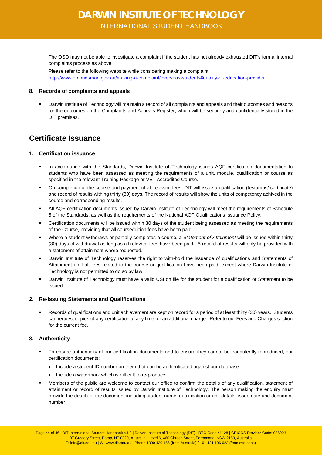The OSO may not be able to investigate a complaint if the student has not already exhausted DIT's formal internal complaints process as above.

Please refer to the following website while considering making a complaint: <http://www.ombudsman.gov.au/making-a-complaint/overseas-students#quality-of-education-provider>

### <span id="page-43-0"></span>**8. Records of complaints and appeals**

 Darwin Institute of Technology will maintain a record of all complaints and appeals and their outcomes and reasons for the outcomes on the Complaints and Appeals Register, which will be securely and confidentially stored in the DIT premises.

### <span id="page-43-1"></span>**Certificate Issuance**

### <span id="page-43-2"></span>**1. Certification issuance**

- In accordance with the Standards, Darwin Institute of Technology issues AQF certification documentation to students who have been assessed as meeting the requirements of a unit, module, qualification or course as specified in the relevant Training Package or VET Accredited Course.
- On completion of the course and payment of all relevant fees, DIT will issue a qualification (testamus/ certificate) and record of results withing thirty (30) days. The record of results will show the units of competency achived in the course and corresponding results.
- All AQF certification documents issued by Darwin Institute of Technology will meet the requirements of Schedule 5 of the Standards, as well as the requirements of the National AQF Qualifications Issuance Policy.
- Certification documents will be issued within 30 days of the student being assessed as meeting the requirements of the Course, providing that all course/tuition fees have been paid.
- Where a student withdraws or partially completes a course, a S*tatement of Attainment* will be issued within thirty (30) days of withdrawal as long as all relevant fees have been paid. A record of results will only be provided with a statement of attainment where requested.
- Darwin Institute of Technology reserves the right to with-hold the issuance of qualifications and Statements of Attainment until all fees related to the course or qualification have been paid, except where Darwin Institute of Technology is not permitted to do so by law.
- Darwin Institute of Technology must have a valid USI on file for the student for a qualification or Statement to be issued.

### <span id="page-43-3"></span>**2. Re-Issuing Statements and Qualifications**

 Records of qualifications and unit achievement are kept on record for a period of at least thirty (30) years. Students can request copies of any certification at any time for an additional charge. Refer to our Fees and Charges section for the current fee.

### <span id="page-43-4"></span>**3. Authenticity**

- To ensure authenticity of our certification documents and to ensure they cannot be fraudulently reproduced, our certification documents:
	- Include a student ID number on them that can be authenticated against our database.
	- Include a watermark which is difficult to re-produce.
- Members of the public are welcome to contact our office to confirm the details of any qualification, statement of attainment or record of results issued by Darwin Institute of Technology. The person making the enquiry must provide the details of the document including student name, qualification or unit details, issue date and document number.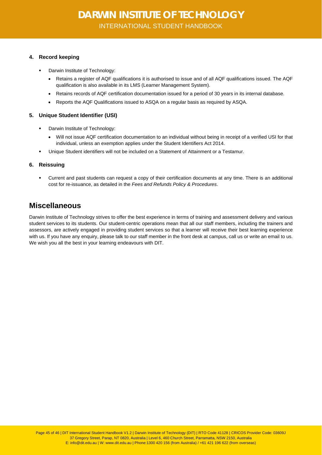### <span id="page-44-0"></span>**4. Record keeping**

- Darwin Institute of Technology:
	- Retains a register of AQF qualifications it is authorised to issue and of all AQF qualifications issued. The AQF qualification is also available in its LMS (Learner Management System).
	- Retains records of AQF certification documentation issued for a period of 30 years in its internal database.
	- Reports the AQF Qualifications issued to ASQA on a regular basis as required by ASQA.

### <span id="page-44-1"></span>**5. Unique Student Identifier (USI)**

- Darwin Institute of Technology:
	- Will not issue AQF certification documentation to an individual without being in receipt of a verified USI for that individual, unless an exemption applies under the Student Identifiers Act 2014.
- Unique Student identifiers will not be included on a Statement of Attainment or a Testamur.

### <span id="page-44-2"></span>**6. Reissuing**

 Current and past students can request a copy of their certification documents at any time. There is an additional cost for re-issuance, as detailed in the *Fees and Refunds Policy & Procedures*.

### <span id="page-44-3"></span>**Miscellaneous**

Darwin Institute of Technology strives to offer the best experience in terms of training and assessment delivery and various student services to its students. Our student-centric operations mean that all our staff members, including the trainers and assessors, are actively engaged in providing student services so that a learner will receive their best learning experience with us. If you have any enquiry, please talk to our staff member in the front desk at campus, call us or write an email to us. We wish you all the best in your learning endeavours with DIT.